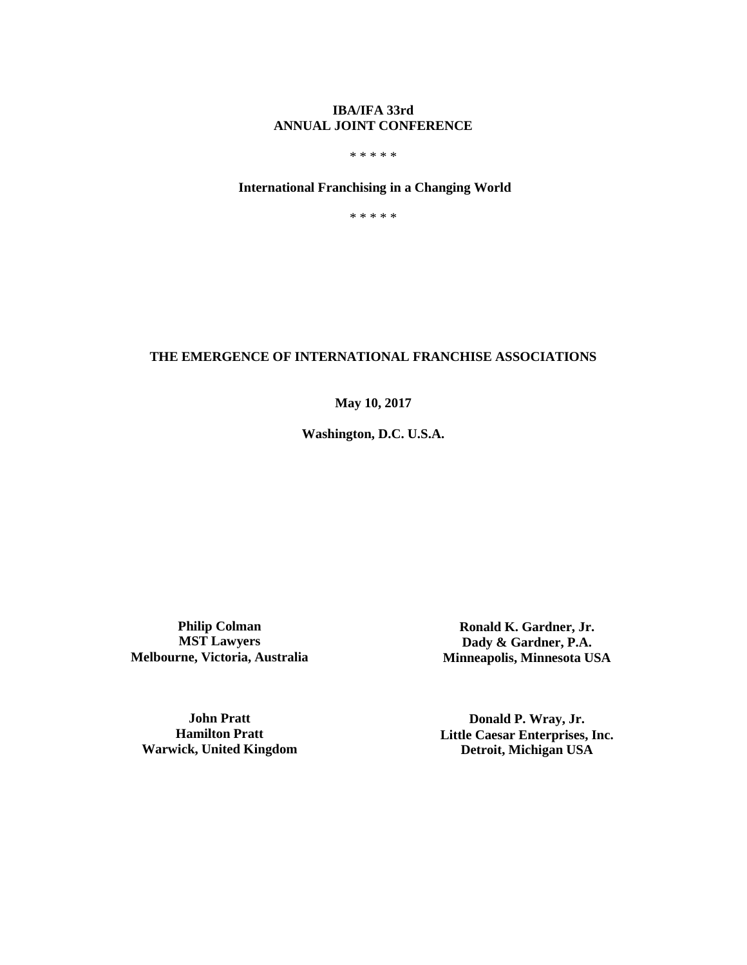## **IBA/IFA 33rd ANNUAL JOINT CONFERENCE**

\* \* \* \* \*

## **International Franchising in a Changing World**

\* \* \* \* \*

### **THE EMERGENCE OF INTERNATIONAL FRANCHISE ASSOCIATIONS**

**May 10, 2017**

**Washington, D.C. U.S.A.**

**Philip Colman MST Lawyers Melbourne, Victoria, Australia**

**Ronald K. Gardner, Jr. Dady & Gardner, P.A. Minneapolis, Minnesota USA**

**John Pratt Hamilton Pratt Warwick, United Kingdom**

**Donald P. Wray, Jr. Little Caesar Enterprises, Inc. Detroit, Michigan USA**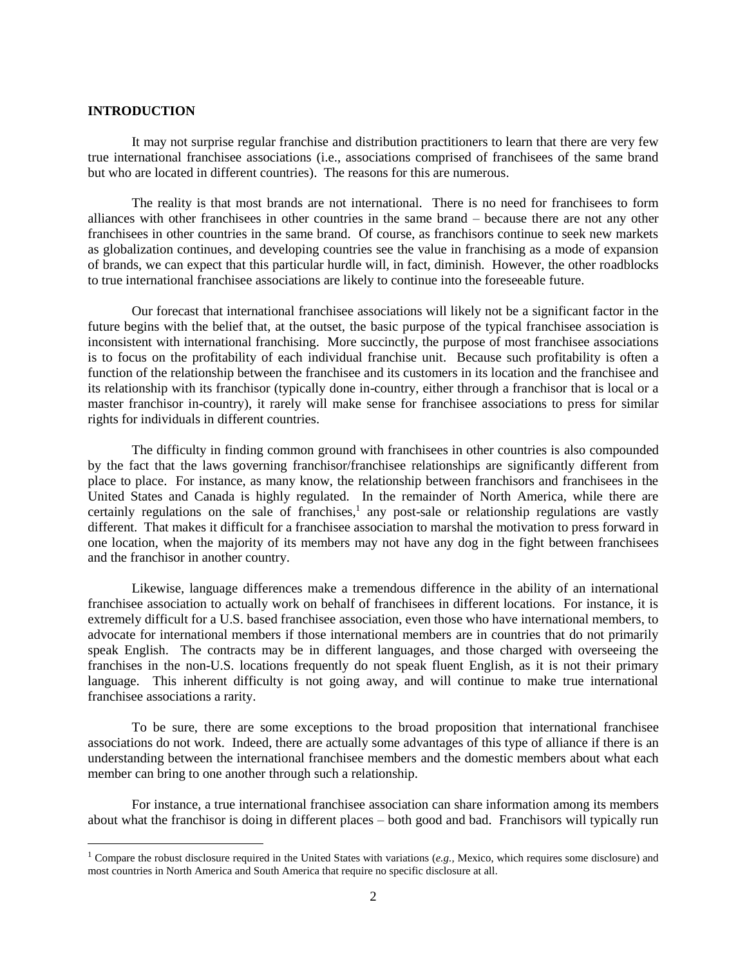#### **INTRODUCTION**

 $\overline{a}$ 

It may not surprise regular franchise and distribution practitioners to learn that there are very few true international franchisee associations (i.e., associations comprised of franchisees of the same brand but who are located in different countries). The reasons for this are numerous.

The reality is that most brands are not international. There is no need for franchisees to form alliances with other franchisees in other countries in the same brand – because there are not any other franchisees in other countries in the same brand. Of course, as franchisors continue to seek new markets as globalization continues, and developing countries see the value in franchising as a mode of expansion of brands, we can expect that this particular hurdle will, in fact, diminish. However, the other roadblocks to true international franchisee associations are likely to continue into the foreseeable future.

Our forecast that international franchisee associations will likely not be a significant factor in the future begins with the belief that, at the outset, the basic purpose of the typical franchisee association is inconsistent with international franchising. More succinctly, the purpose of most franchisee associations is to focus on the profitability of each individual franchise unit. Because such profitability is often a function of the relationship between the franchisee and its customers in its location and the franchisee and its relationship with its franchisor (typically done in-country, either through a franchisor that is local or a master franchisor in-country), it rarely will make sense for franchisee associations to press for similar rights for individuals in different countries.

The difficulty in finding common ground with franchisees in other countries is also compounded by the fact that the laws governing franchisor/franchisee relationships are significantly different from place to place. For instance, as many know, the relationship between franchisors and franchisees in the United States and Canada is highly regulated. In the remainder of North America, while there are certainly regulations on the sale of franchises,<sup>1</sup> any post-sale or relationship regulations are vastly different. That makes it difficult for a franchisee association to marshal the motivation to press forward in one location, when the majority of its members may not have any dog in the fight between franchisees and the franchisor in another country.

Likewise, language differences make a tremendous difference in the ability of an international franchisee association to actually work on behalf of franchisees in different locations. For instance, it is extremely difficult for a U.S. based franchisee association, even those who have international members, to advocate for international members if those international members are in countries that do not primarily speak English. The contracts may be in different languages, and those charged with overseeing the franchises in the non-U.S. locations frequently do not speak fluent English, as it is not their primary language. This inherent difficulty is not going away, and will continue to make true international franchisee associations a rarity.

To be sure, there are some exceptions to the broad proposition that international franchisee associations do not work. Indeed, there are actually some advantages of this type of alliance if there is an understanding between the international franchisee members and the domestic members about what each member can bring to one another through such a relationship.

For instance, a true international franchisee association can share information among its members about what the franchisor is doing in different places – both good and bad. Franchisors will typically run

<sup>1</sup> Compare the robust disclosure required in the United States with variations (*e.g.,* Mexico, which requires some disclosure) and most countries in North America and South America that require no specific disclosure at all*.*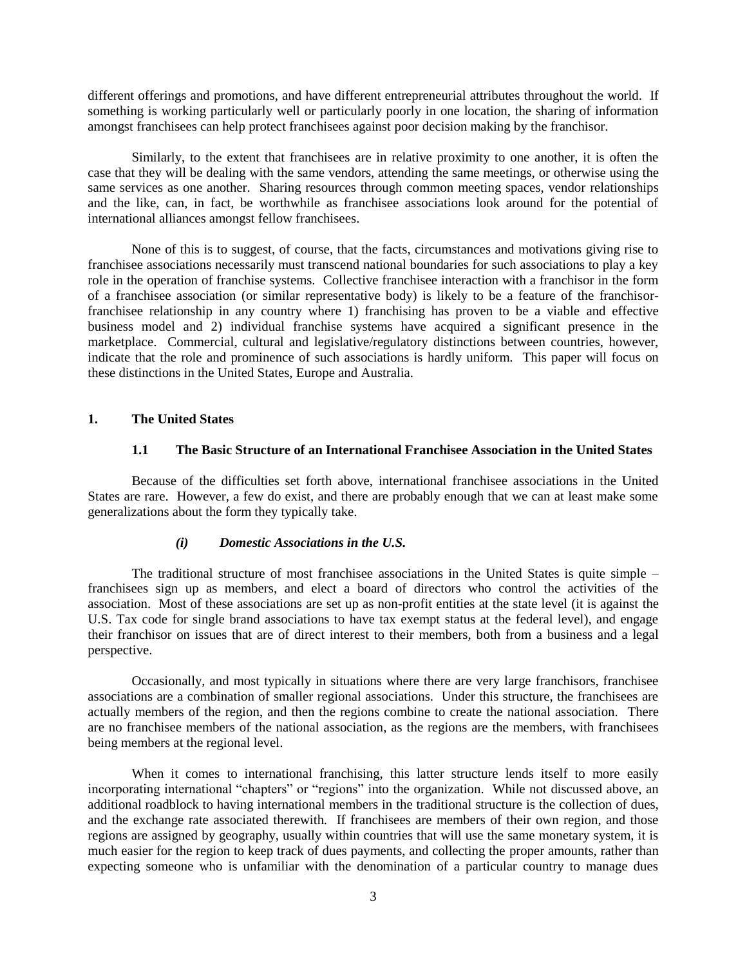different offerings and promotions, and have different entrepreneurial attributes throughout the world. If something is working particularly well or particularly poorly in one location, the sharing of information amongst franchisees can help protect franchisees against poor decision making by the franchisor.

Similarly, to the extent that franchisees are in relative proximity to one another, it is often the case that they will be dealing with the same vendors, attending the same meetings, or otherwise using the same services as one another. Sharing resources through common meeting spaces, vendor relationships and the like, can, in fact, be worthwhile as franchisee associations look around for the potential of international alliances amongst fellow franchisees.

None of this is to suggest, of course, that the facts, circumstances and motivations giving rise to franchisee associations necessarily must transcend national boundaries for such associations to play a key role in the operation of franchise systems. Collective franchisee interaction with a franchisor in the form of a franchisee association (or similar representative body) is likely to be a feature of the franchisorfranchisee relationship in any country where 1) franchising has proven to be a viable and effective business model and 2) individual franchise systems have acquired a significant presence in the marketplace. Commercial, cultural and legislative/regulatory distinctions between countries, however, indicate that the role and prominence of such associations is hardly uniform. This paper will focus on these distinctions in the United States, Europe and Australia.

## **1. The United States**

### **1.1 The Basic Structure of an International Franchisee Association in the United States**

Because of the difficulties set forth above, international franchisee associations in the United States are rare. However, a few do exist, and there are probably enough that we can at least make some generalizations about the form they typically take.

#### *(i) Domestic Associations in the U.S.*

The traditional structure of most franchisee associations in the United States is quite simple – franchisees sign up as members, and elect a board of directors who control the activities of the association. Most of these associations are set up as non-profit entities at the state level (it is against the U.S. Tax code for single brand associations to have tax exempt status at the federal level), and engage their franchisor on issues that are of direct interest to their members, both from a business and a legal perspective.

Occasionally, and most typically in situations where there are very large franchisors, franchisee associations are a combination of smaller regional associations. Under this structure, the franchisees are actually members of the region, and then the regions combine to create the national association. There are no franchisee members of the national association, as the regions are the members, with franchisees being members at the regional level.

When it comes to international franchising, this latter structure lends itself to more easily incorporating international "chapters" or "regions" into the organization. While not discussed above, an additional roadblock to having international members in the traditional structure is the collection of dues, and the exchange rate associated therewith. If franchisees are members of their own region, and those regions are assigned by geography, usually within countries that will use the same monetary system, it is much easier for the region to keep track of dues payments, and collecting the proper amounts, rather than expecting someone who is unfamiliar with the denomination of a particular country to manage dues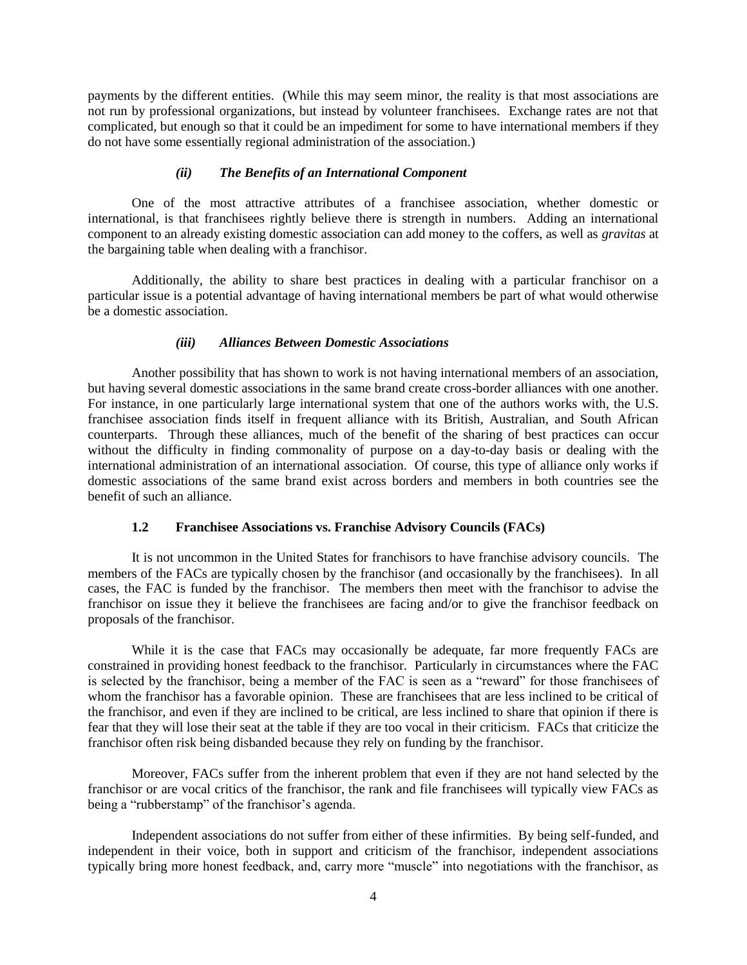payments by the different entities. (While this may seem minor, the reality is that most associations are not run by professional organizations, but instead by volunteer franchisees. Exchange rates are not that complicated, but enough so that it could be an impediment for some to have international members if they do not have some essentially regional administration of the association.)

### *(ii) The Benefits of an International Component*

One of the most attractive attributes of a franchisee association, whether domestic or international, is that franchisees rightly believe there is strength in numbers. Adding an international component to an already existing domestic association can add money to the coffers, as well as *gravitas* at the bargaining table when dealing with a franchisor.

Additionally, the ability to share best practices in dealing with a particular franchisor on a particular issue is a potential advantage of having international members be part of what would otherwise be a domestic association.

### *(iii) Alliances Between Domestic Associations*

Another possibility that has shown to work is not having international members of an association, but having several domestic associations in the same brand create cross-border alliances with one another. For instance, in one particularly large international system that one of the authors works with, the U.S. franchisee association finds itself in frequent alliance with its British, Australian, and South African counterparts. Through these alliances, much of the benefit of the sharing of best practices can occur without the difficulty in finding commonality of purpose on a day-to-day basis or dealing with the international administration of an international association. Of course, this type of alliance only works if domestic associations of the same brand exist across borders and members in both countries see the benefit of such an alliance.

#### **1.2 Franchisee Associations vs. Franchise Advisory Councils (FACs)**

It is not uncommon in the United States for franchisors to have franchise advisory councils. The members of the FACs are typically chosen by the franchisor (and occasionally by the franchisees). In all cases, the FAC is funded by the franchisor. The members then meet with the franchisor to advise the franchisor on issue they it believe the franchisees are facing and/or to give the franchisor feedback on proposals of the franchisor.

While it is the case that FACs may occasionally be adequate, far more frequently FACs are constrained in providing honest feedback to the franchisor. Particularly in circumstances where the FAC is selected by the franchisor, being a member of the FAC is seen as a "reward" for those franchisees of whom the franchisor has a favorable opinion. These are franchisees that are less inclined to be critical of the franchisor, and even if they are inclined to be critical, are less inclined to share that opinion if there is fear that they will lose their seat at the table if they are too vocal in their criticism. FACs that criticize the franchisor often risk being disbanded because they rely on funding by the franchisor.

Moreover, FACs suffer from the inherent problem that even if they are not hand selected by the franchisor or are vocal critics of the franchisor, the rank and file franchisees will typically view FACs as being a "rubberstamp" of the franchisor's agenda.

Independent associations do not suffer from either of these infirmities. By being self-funded, and independent in their voice, both in support and criticism of the franchisor, independent associations typically bring more honest feedback, and, carry more "muscle" into negotiations with the franchisor, as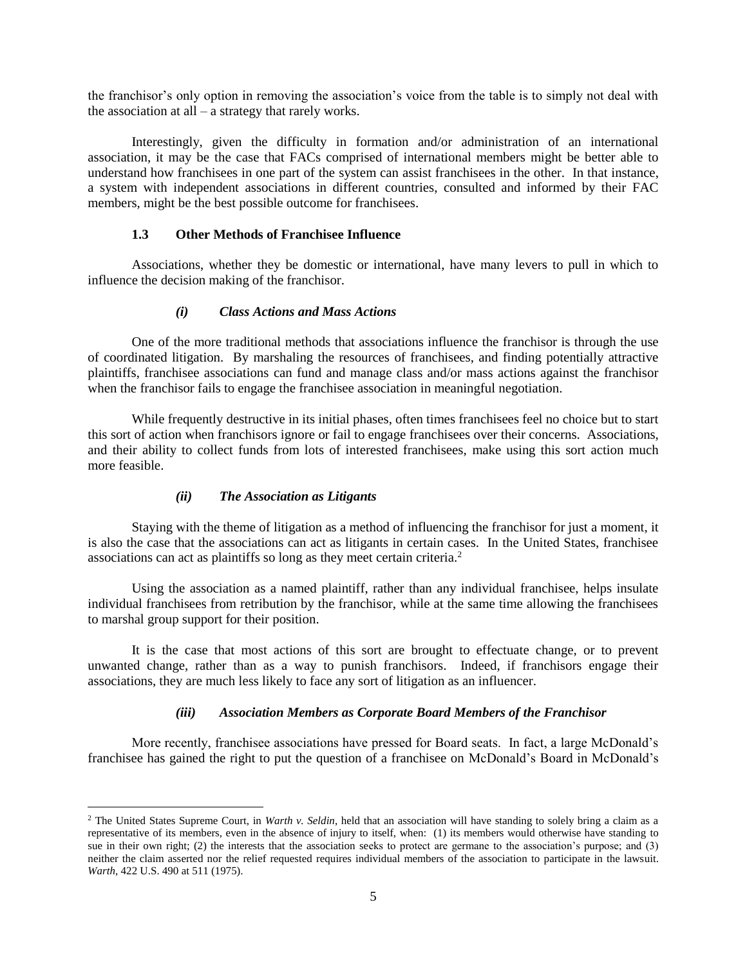the franchisor's only option in removing the association's voice from the table is to simply not deal with the association at all – a strategy that rarely works.

Interestingly, given the difficulty in formation and/or administration of an international association, it may be the case that FACs comprised of international members might be better able to understand how franchisees in one part of the system can assist franchisees in the other. In that instance, a system with independent associations in different countries, consulted and informed by their FAC members, might be the best possible outcome for franchisees.

## **1.3 Other Methods of Franchisee Influence**

Associations, whether they be domestic or international, have many levers to pull in which to influence the decision making of the franchisor.

## *(i) Class Actions and Mass Actions*

One of the more traditional methods that associations influence the franchisor is through the use of coordinated litigation. By marshaling the resources of franchisees, and finding potentially attractive plaintiffs, franchisee associations can fund and manage class and/or mass actions against the franchisor when the franchisor fails to engage the franchisee association in meaningful negotiation.

While frequently destructive in its initial phases, often times franchisees feel no choice but to start this sort of action when franchisors ignore or fail to engage franchisees over their concerns. Associations, and their ability to collect funds from lots of interested franchisees, make using this sort action much more feasible.

## *(ii) The Association as Litigants*

 $\overline{a}$ 

Staying with the theme of litigation as a method of influencing the franchisor for just a moment, it is also the case that the associations can act as litigants in certain cases. In the United States, franchisee associations can act as plaintiffs so long as they meet certain criteria.<sup>2</sup>

Using the association as a named plaintiff, rather than any individual franchisee, helps insulate individual franchisees from retribution by the franchisor, while at the same time allowing the franchisees to marshal group support for their position.

It is the case that most actions of this sort are brought to effectuate change, or to prevent unwanted change, rather than as a way to punish franchisors. Indeed, if franchisors engage their associations, they are much less likely to face any sort of litigation as an influencer.

## *(iii) Association Members as Corporate Board Members of the Franchisor*

More recently, franchisee associations have pressed for Board seats. In fact, a large McDonald's franchisee has gained the right to put the question of a franchisee on McDonald's Board in McDonald's

<sup>2</sup> The United States Supreme Court, in *Warth v. Seldin*, held that an association will have standing to solely bring a claim as a representative of its members, even in the absence of injury to itself, when: (1) its members would otherwise have standing to sue in their own right; (2) the interests that the association seeks to protect are germane to the association's purpose; and (3) neither the claim asserted nor the relief requested requires individual members of the association to participate in the lawsuit. *Warth*, 422 U.S. 490 at 511 (1975).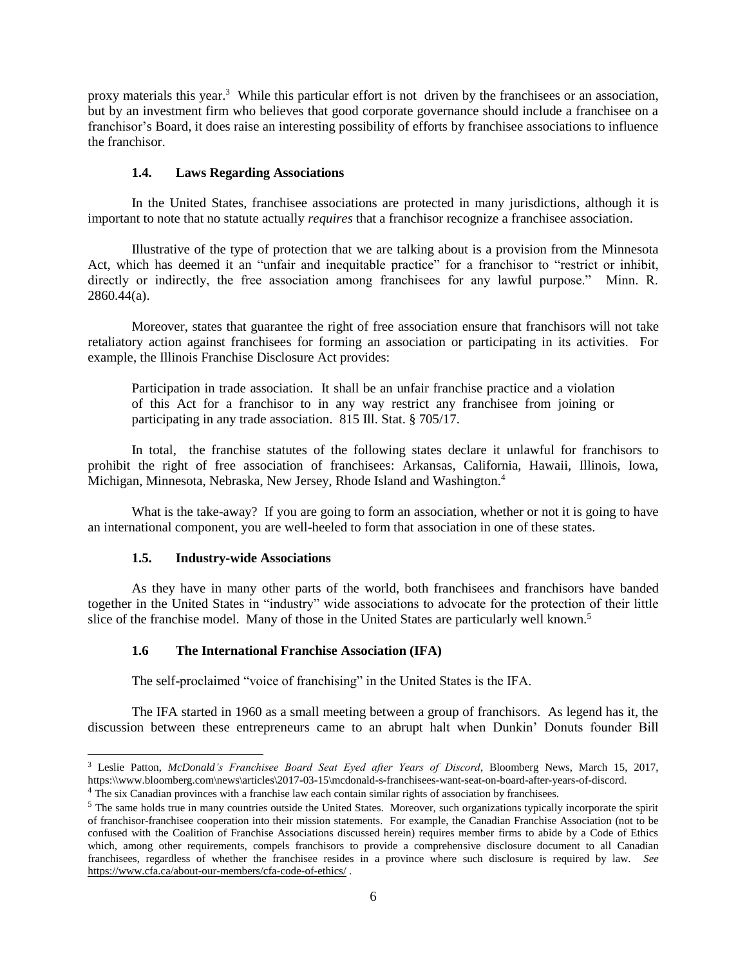proxy materials this year.<sup>3</sup> While this particular effort is not driven by the franchisees or an association, but by an investment firm who believes that good corporate governance should include a franchisee on a franchisor's Board, it does raise an interesting possibility of efforts by franchisee associations to influence the franchisor.

## **1.4. Laws Regarding Associations**

In the United States, franchisee associations are protected in many jurisdictions, although it is important to note that no statute actually *requires* that a franchisor recognize a franchisee association.

Illustrative of the type of protection that we are talking about is a provision from the Minnesota Act, which has deemed it an "unfair and inequitable practice" for a franchisor to "restrict or inhibit, directly or indirectly, the free association among franchisees for any lawful purpose." Minn. R. 2860.44(a).

Moreover, states that guarantee the right of free association ensure that franchisors will not take retaliatory action against franchisees for forming an association or participating in its activities. For example, the Illinois Franchise Disclosure Act provides:

Participation in trade association. It shall be an unfair franchise practice and a violation of this Act for a franchisor to in any way restrict any franchisee from joining or participating in any trade association. 815 Ill. Stat. § 705/17.

In total, the franchise statutes of the following states declare it unlawful for franchisors to prohibit the right of free association of franchisees: Arkansas, California, Hawaii, Illinois, Iowa, Michigan, Minnesota, Nebraska, New Jersey, Rhode Island and Washington.<sup>4</sup>

What is the take-away? If you are going to form an association, whether or not it is going to have an international component, you are well-heeled to form that association in one of these states.

#### **1.5. Industry-wide Associations**

 $\overline{a}$ 

As they have in many other parts of the world, both franchisees and franchisors have banded together in the United States in "industry" wide associations to advocate for the protection of their little slice of the franchise model. Many of those in the United States are particularly well known.<sup>5</sup>

## **1.6 The International Franchise Association (IFA)**

The self-proclaimed "voice of franchising" in the United States is the IFA.

The IFA started in 1960 as a small meeting between a group of franchisors. As legend has it, the discussion between these entrepreneurs came to an abrupt halt when Dunkin' Donuts founder Bill

<sup>3</sup> Leslie Patton, *McDonald's Franchisee Board Seat Eyed after Years of Discord*, Bloomberg News, March 15, 2017, https:\\www.bloomberg.com\news\articles\2017-03-15\mcdonald-s-franchisees-want-seat-on-board-after-years-of-discord.

<sup>4</sup> The six Canadian provinces with a franchise law each contain similar rights of association by franchisees.

<sup>&</sup>lt;sup>5</sup> The same holds true in many countries outside the United States. Moreover, such organizations typically incorporate the spirit of franchisor-franchisee cooperation into their mission statements. For example, the Canadian Franchise Association (not to be confused with the Coalition of Franchise Associations discussed herein) requires member firms to abide by a Code of Ethics which, among other requirements, compels franchisors to provide a comprehensive disclosure document to all Canadian franchisees, regardless of whether the franchisee resides in a province where such disclosure is required by law. *See*  https://www.cfa.ca/about-our-members/cfa-code-of-ethics/ .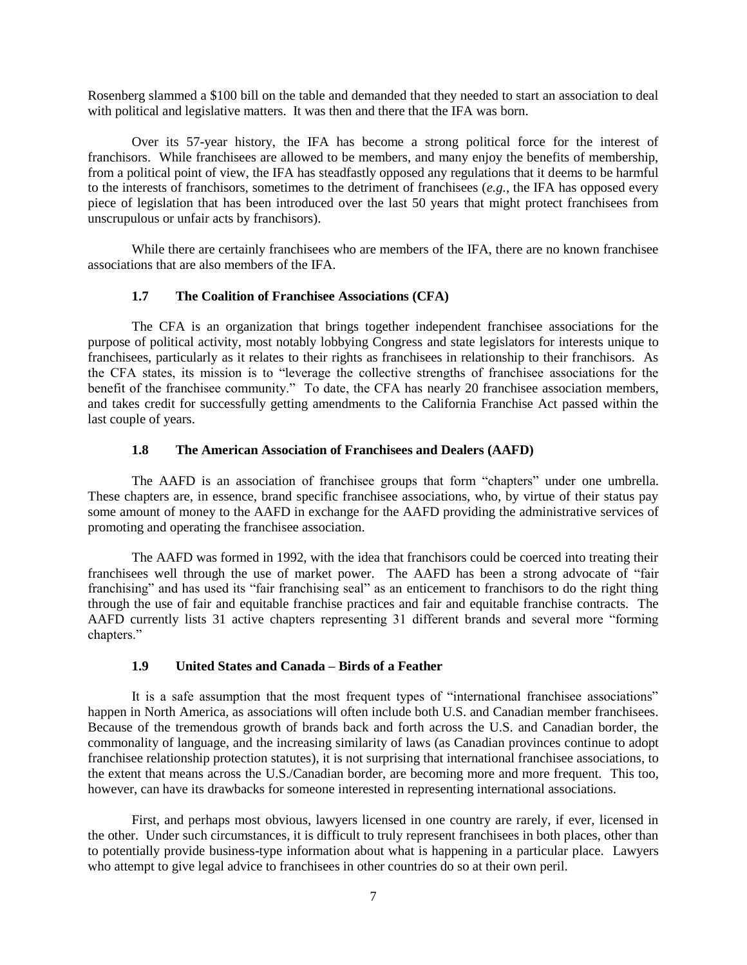Rosenberg slammed a \$100 bill on the table and demanded that they needed to start an association to deal with political and legislative matters. It was then and there that the IFA was born.

Over its 57-year history, the IFA has become a strong political force for the interest of franchisors. While franchisees are allowed to be members, and many enjoy the benefits of membership, from a political point of view, the IFA has steadfastly opposed any regulations that it deems to be harmful to the interests of franchisors, sometimes to the detriment of franchisees (*e.g.*, the IFA has opposed every piece of legislation that has been introduced over the last 50 years that might protect franchisees from unscrupulous or unfair acts by franchisors).

While there are certainly franchisees who are members of the IFA, there are no known franchisee associations that are also members of the IFA.

#### **1.7 The Coalition of Franchisee Associations (CFA)**

The CFA is an organization that brings together independent franchisee associations for the purpose of political activity, most notably lobbying Congress and state legislators for interests unique to franchisees, particularly as it relates to their rights as franchisees in relationship to their franchisors. As the CFA states, its mission is to "leverage the collective strengths of franchisee associations for the benefit of the franchisee community." To date, the CFA has nearly 20 franchisee association members, and takes credit for successfully getting amendments to the California Franchise Act passed within the last couple of years.

### **1.8 The American Association of Franchisees and Dealers (AAFD)**

The AAFD is an association of franchisee groups that form "chapters" under one umbrella. These chapters are, in essence, brand specific franchisee associations, who, by virtue of their status pay some amount of money to the AAFD in exchange for the AAFD providing the administrative services of promoting and operating the franchisee association.

The AAFD was formed in 1992, with the idea that franchisors could be coerced into treating their franchisees well through the use of market power. The AAFD has been a strong advocate of "fair franchising" and has used its "fair franchising seal" as an enticement to franchisors to do the right thing through the use of fair and equitable franchise practices and fair and equitable franchise contracts. The AAFD currently lists 31 active chapters representing 31 different brands and several more "forming chapters."

## **1.9 United States and Canada – Birds of a Feather**

It is a safe assumption that the most frequent types of "international franchisee associations" happen in North America, as associations will often include both U.S. and Canadian member franchisees. Because of the tremendous growth of brands back and forth across the U.S. and Canadian border, the commonality of language, and the increasing similarity of laws (as Canadian provinces continue to adopt franchisee relationship protection statutes), it is not surprising that international franchisee associations, to the extent that means across the U.S./Canadian border, are becoming more and more frequent. This too, however, can have its drawbacks for someone interested in representing international associations.

First, and perhaps most obvious, lawyers licensed in one country are rarely, if ever, licensed in the other. Under such circumstances, it is difficult to truly represent franchisees in both places, other than to potentially provide business-type information about what is happening in a particular place. Lawyers who attempt to give legal advice to franchisees in other countries do so at their own peril.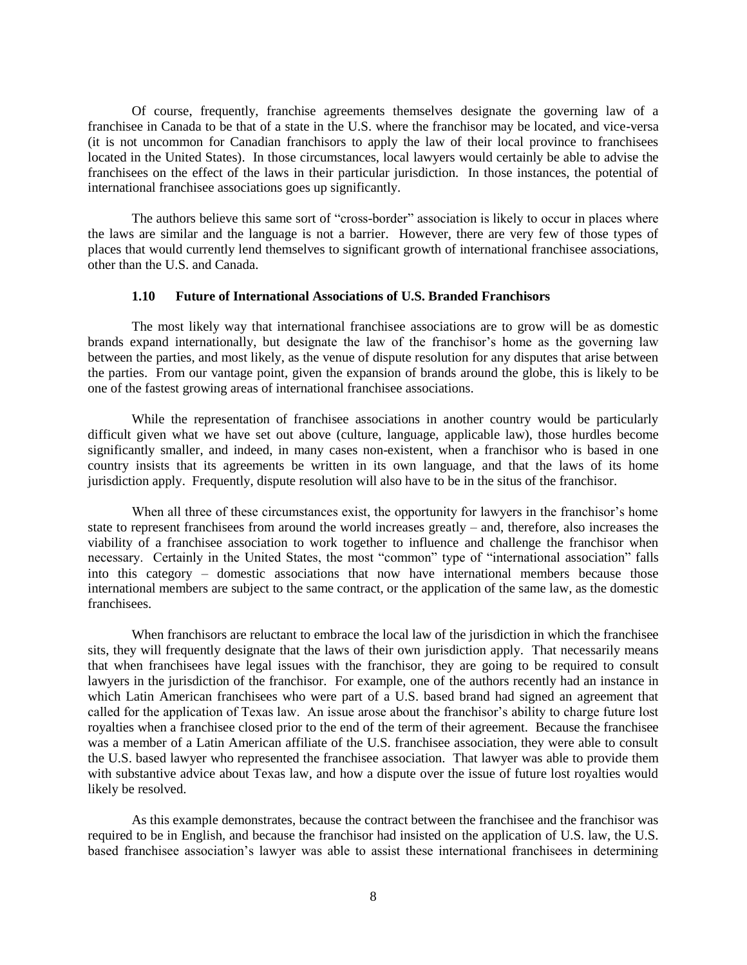Of course, frequently, franchise agreements themselves designate the governing law of a franchisee in Canada to be that of a state in the U.S. where the franchisor may be located, and vice-versa (it is not uncommon for Canadian franchisors to apply the law of their local province to franchisees located in the United States). In those circumstances, local lawyers would certainly be able to advise the franchisees on the effect of the laws in their particular jurisdiction. In those instances, the potential of international franchisee associations goes up significantly.

The authors believe this same sort of "cross-border" association is likely to occur in places where the laws are similar and the language is not a barrier. However, there are very few of those types of places that would currently lend themselves to significant growth of international franchisee associations, other than the U.S. and Canada.

#### **1.10 Future of International Associations of U.S. Branded Franchisors**

The most likely way that international franchisee associations are to grow will be as domestic brands expand internationally, but designate the law of the franchisor's home as the governing law between the parties, and most likely, as the venue of dispute resolution for any disputes that arise between the parties. From our vantage point, given the expansion of brands around the globe, this is likely to be one of the fastest growing areas of international franchisee associations.

While the representation of franchisee associations in another country would be particularly difficult given what we have set out above (culture, language, applicable law), those hurdles become significantly smaller, and indeed, in many cases non-existent, when a franchisor who is based in one country insists that its agreements be written in its own language, and that the laws of its home jurisdiction apply. Frequently, dispute resolution will also have to be in the situs of the franchisor.

When all three of these circumstances exist, the opportunity for lawyers in the franchisor's home state to represent franchisees from around the world increases greatly – and, therefore, also increases the viability of a franchisee association to work together to influence and challenge the franchisor when necessary. Certainly in the United States, the most "common" type of "international association" falls into this category – domestic associations that now have international members because those international members are subject to the same contract, or the application of the same law, as the domestic franchisees.

When franchisors are reluctant to embrace the local law of the jurisdiction in which the franchisee sits, they will frequently designate that the laws of their own jurisdiction apply. That necessarily means that when franchisees have legal issues with the franchisor, they are going to be required to consult lawyers in the jurisdiction of the franchisor. For example, one of the authors recently had an instance in which Latin American franchisees who were part of a U.S. based brand had signed an agreement that called for the application of Texas law. An issue arose about the franchisor's ability to charge future lost royalties when a franchisee closed prior to the end of the term of their agreement. Because the franchisee was a member of a Latin American affiliate of the U.S. franchisee association, they were able to consult the U.S. based lawyer who represented the franchisee association. That lawyer was able to provide them with substantive advice about Texas law, and how a dispute over the issue of future lost royalties would likely be resolved.

As this example demonstrates, because the contract between the franchisee and the franchisor was required to be in English, and because the franchisor had insisted on the application of U.S. law, the U.S. based franchisee association's lawyer was able to assist these international franchisees in determining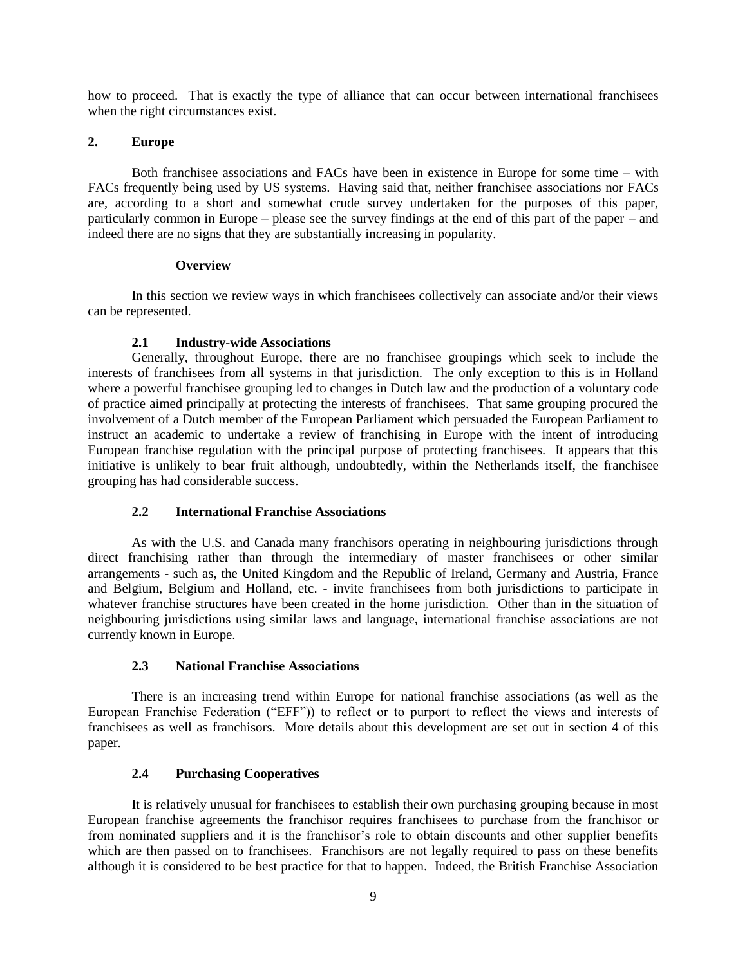how to proceed. That is exactly the type of alliance that can occur between international franchisees when the right circumstances exist.

### **2. Europe**

Both franchisee associations and FACs have been in existence in Europe for some time – with FACs frequently being used by US systems. Having said that, neither franchisee associations nor FACs are, according to a short and somewhat crude survey undertaken for the purposes of this paper, particularly common in Europe – please see the survey findings at the end of this part of the paper – and indeed there are no signs that they are substantially increasing in popularity.

### **Overview**

In this section we review ways in which franchisees collectively can associate and/or their views can be represented.

## **2.1 Industry-wide Associations**

Generally, throughout Europe, there are no franchisee groupings which seek to include the interests of franchisees from all systems in that jurisdiction. The only exception to this is in Holland where a powerful franchisee grouping led to changes in Dutch law and the production of a voluntary code of practice aimed principally at protecting the interests of franchisees. That same grouping procured the involvement of a Dutch member of the European Parliament which persuaded the European Parliament to instruct an academic to undertake a review of franchising in Europe with the intent of introducing European franchise regulation with the principal purpose of protecting franchisees. It appears that this initiative is unlikely to bear fruit although, undoubtedly, within the Netherlands itself, the franchisee grouping has had considerable success.

## **2.2 International Franchise Associations**

As with the U.S. and Canada many franchisors operating in neighbouring jurisdictions through direct franchising rather than through the intermediary of master franchisees or other similar arrangements - such as, the United Kingdom and the Republic of Ireland, Germany and Austria, France and Belgium, Belgium and Holland, etc. - invite franchisees from both jurisdictions to participate in whatever franchise structures have been created in the home jurisdiction. Other than in the situation of neighbouring jurisdictions using similar laws and language, international franchise associations are not currently known in Europe.

## **2.3 National Franchise Associations**

There is an increasing trend within Europe for national franchise associations (as well as the European Franchise Federation ("EFF")) to reflect or to purport to reflect the views and interests of franchisees as well as franchisors. More details about this development are set out in section 4 of this paper.

## **2.4 Purchasing Cooperatives**

It is relatively unusual for franchisees to establish their own purchasing grouping because in most European franchise agreements the franchisor requires franchisees to purchase from the franchisor or from nominated suppliers and it is the franchisor's role to obtain discounts and other supplier benefits which are then passed on to franchisees. Franchisors are not legally required to pass on these benefits although it is considered to be best practice for that to happen. Indeed, the British Franchise Association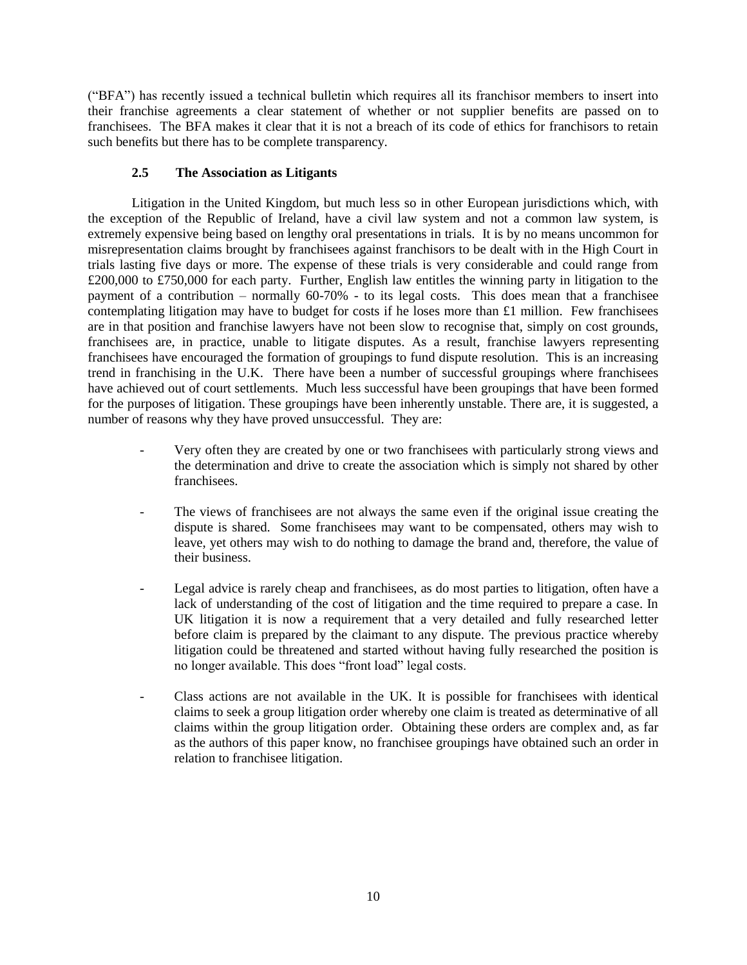("BFA") has recently issued a technical bulletin which requires all its franchisor members to insert into their franchise agreements a clear statement of whether or not supplier benefits are passed on to franchisees. The BFA makes it clear that it is not a breach of its code of ethics for franchisors to retain such benefits but there has to be complete transparency.

# **2.5 The Association as Litigants**

Litigation in the United Kingdom, but much less so in other European jurisdictions which, with the exception of the Republic of Ireland, have a civil law system and not a common law system, is extremely expensive being based on lengthy oral presentations in trials. It is by no means uncommon for misrepresentation claims brought by franchisees against franchisors to be dealt with in the High Court in trials lasting five days or more. The expense of these trials is very considerable and could range from £200,000 to £750,000 for each party. Further, English law entitles the winning party in litigation to the payment of a contribution – normally 60-70% - to its legal costs. This does mean that a franchisee contemplating litigation may have to budget for costs if he loses more than  $\pounds 1$  million. Few franchisees are in that position and franchise lawyers have not been slow to recognise that, simply on cost grounds, franchisees are, in practice, unable to litigate disputes. As a result, franchise lawyers representing franchisees have encouraged the formation of groupings to fund dispute resolution. This is an increasing trend in franchising in the U.K. There have been a number of successful groupings where franchisees have achieved out of court settlements. Much less successful have been groupings that have been formed for the purposes of litigation. These groupings have been inherently unstable. There are, it is suggested, a number of reasons why they have proved unsuccessful. They are:

- Very often they are created by one or two franchisees with particularly strong views and the determination and drive to create the association which is simply not shared by other franchisees.
- The views of franchisees are not always the same even if the original issue creating the dispute is shared. Some franchisees may want to be compensated, others may wish to leave, yet others may wish to do nothing to damage the brand and, therefore, the value of their business.
- Legal advice is rarely cheap and franchisees, as do most parties to litigation, often have a lack of understanding of the cost of litigation and the time required to prepare a case. In UK litigation it is now a requirement that a very detailed and fully researched letter before claim is prepared by the claimant to any dispute. The previous practice whereby litigation could be threatened and started without having fully researched the position is no longer available. This does "front load" legal costs.
- Class actions are not available in the UK. It is possible for franchisees with identical claims to seek a group litigation order whereby one claim is treated as determinative of all claims within the group litigation order. Obtaining these orders are complex and, as far as the authors of this paper know, no franchisee groupings have obtained such an order in relation to franchisee litigation.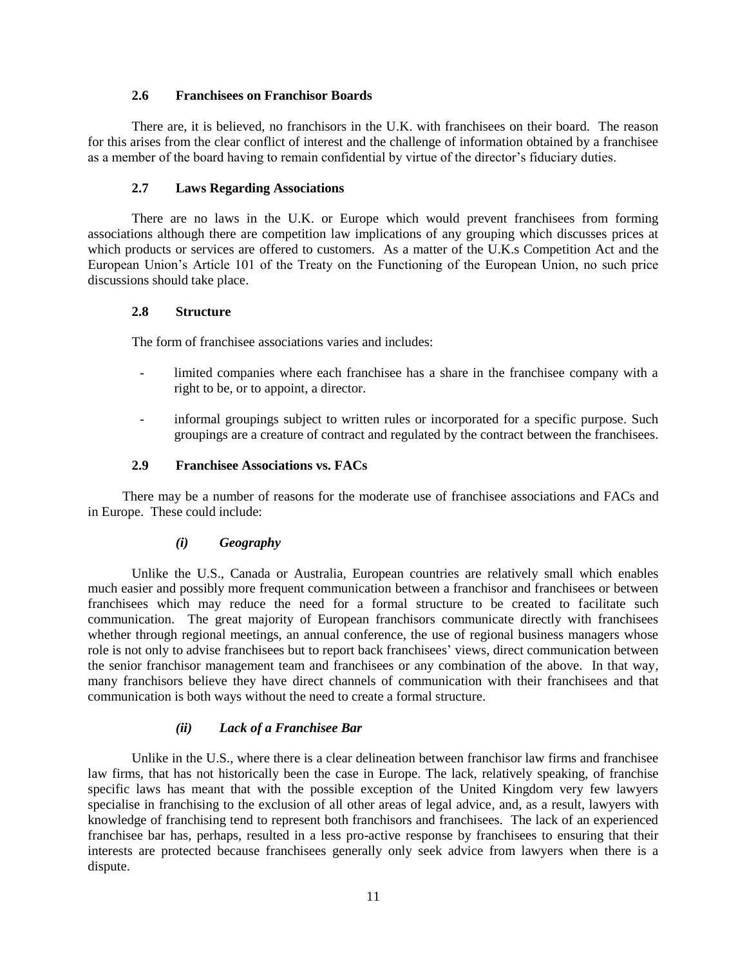#### **2.6 Franchisees on Franchisor Boards**

There are, it is believed, no franchisors in the U.K. with franchisees on their board. The reason for this arises from the clear conflict of interest and the challenge of information obtained by a franchisee as a member of the board having to remain confidential by virtue of the director's fiduciary duties.

## **2.7 Laws Regarding Associations**

There are no laws in the U.K. or Europe which would prevent franchisees from forming associations although there are competition law implications of any grouping which discusses prices at which products or services are offered to customers. As a matter of the U.K.s Competition Act and the European Union's Article 101 of the Treaty on the Functioning of the European Union, no such price discussions should take place.

## **2.8 Structure**

The form of franchisee associations varies and includes:

- limited companies where each franchisee has a share in the franchisee company with a right to be, or to appoint, a director.
- informal groupings subject to written rules or incorporated for a specific purpose. Such groupings are a creature of contract and regulated by the contract between the franchisees.

## **2.9 Franchisee Associations vs. FACs**

There may be a number of reasons for the moderate use of franchisee associations and FACs and in Europe. These could include:

## *(i) Geography*

Unlike the U.S., Canada or Australia, European countries are relatively small which enables much easier and possibly more frequent communication between a franchisor and franchisees or between franchisees which may reduce the need for a formal structure to be created to facilitate such communication. The great majority of European franchisors communicate directly with franchisees whether through regional meetings, an annual conference, the use of regional business managers whose role is not only to advise franchisees but to report back franchisees' views, direct communication between the senior franchisor management team and franchisees or any combination of the above. In that way, many franchisors believe they have direct channels of communication with their franchisees and that communication is both ways without the need to create a formal structure.

## *(ii) Lack of a Franchisee Bar*

Unlike in the U.S., where there is a clear delineation between franchisor law firms and franchisee law firms, that has not historically been the case in Europe. The lack, relatively speaking, of franchise specific laws has meant that with the possible exception of the United Kingdom very few lawyers specialise in franchising to the exclusion of all other areas of legal advice, and, as a result, lawyers with knowledge of franchising tend to represent both franchisors and franchisees. The lack of an experienced franchisee bar has, perhaps, resulted in a less pro-active response by franchisees to ensuring that their interests are protected because franchisees generally only seek advice from lawyers when there is a dispute.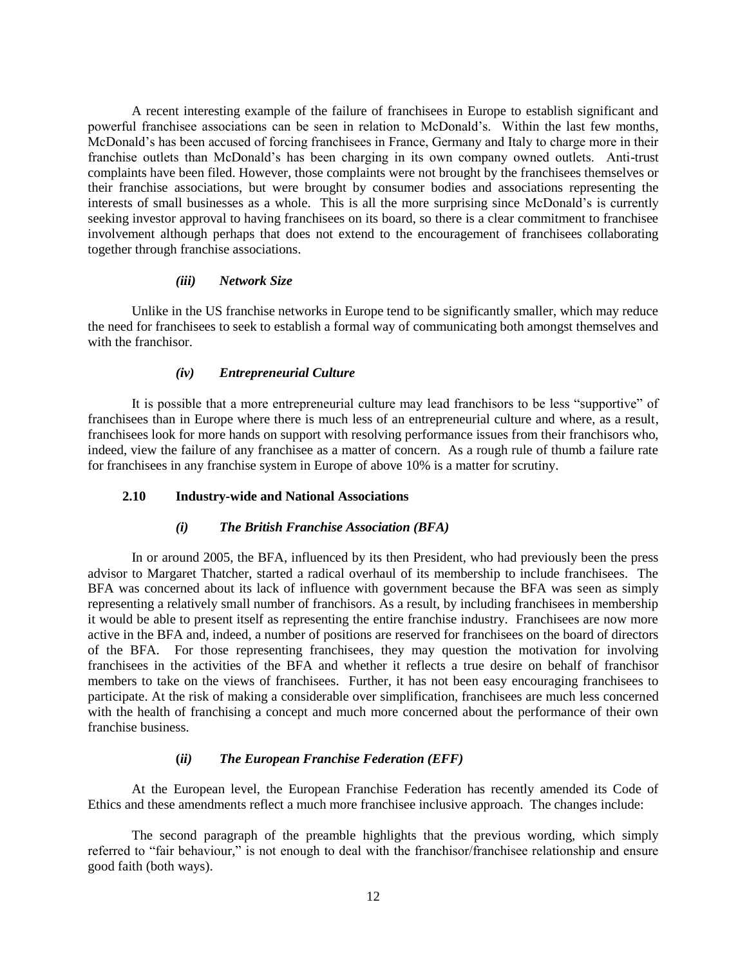A recent interesting example of the failure of franchisees in Europe to establish significant and powerful franchisee associations can be seen in relation to McDonald's. Within the last few months, McDonald's has been accused of forcing franchisees in France, Germany and Italy to charge more in their franchise outlets than McDonald's has been charging in its own company owned outlets. Anti-trust complaints have been filed. However, those complaints were not brought by the franchisees themselves or their franchise associations, but were brought by consumer bodies and associations representing the interests of small businesses as a whole. This is all the more surprising since McDonald's is currently seeking investor approval to having franchisees on its board, so there is a clear commitment to franchisee involvement although perhaps that does not extend to the encouragement of franchisees collaborating together through franchise associations.

#### *(iii) Network Size*

Unlike in the US franchise networks in Europe tend to be significantly smaller, which may reduce the need for franchisees to seek to establish a formal way of communicating both amongst themselves and with the franchisor.

#### *(iv) Entrepreneurial Culture*

It is possible that a more entrepreneurial culture may lead franchisors to be less "supportive" of franchisees than in Europe where there is much less of an entrepreneurial culture and where, as a result, franchisees look for more hands on support with resolving performance issues from their franchisors who, indeed, view the failure of any franchisee as a matter of concern. As a rough rule of thumb a failure rate for franchisees in any franchise system in Europe of above 10% is a matter for scrutiny.

#### **2.10 Industry-wide and National Associations**

#### *(i) The British Franchise Association (BFA)*

In or around 2005, the BFA, influenced by its then President, who had previously been the press advisor to Margaret Thatcher, started a radical overhaul of its membership to include franchisees. The BFA was concerned about its lack of influence with government because the BFA was seen as simply representing a relatively small number of franchisors. As a result, by including franchisees in membership it would be able to present itself as representing the entire franchise industry. Franchisees are now more active in the BFA and, indeed, a number of positions are reserved for franchisees on the board of directors of the BFA. For those representing franchisees, they may question the motivation for involving franchisees in the activities of the BFA and whether it reflects a true desire on behalf of franchisor members to take on the views of franchisees. Further, it has not been easy encouraging franchisees to participate. At the risk of making a considerable over simplification, franchisees are much less concerned with the health of franchising a concept and much more concerned about the performance of their own franchise business.

## **(***ii) The European Franchise Federation (EFF)*

At the European level, the European Franchise Federation has recently amended its Code of Ethics and these amendments reflect a much more franchisee inclusive approach. The changes include:

The second paragraph of the preamble highlights that the previous wording, which simply referred to "fair behaviour," is not enough to deal with the franchisor/franchisee relationship and ensure good faith (both ways).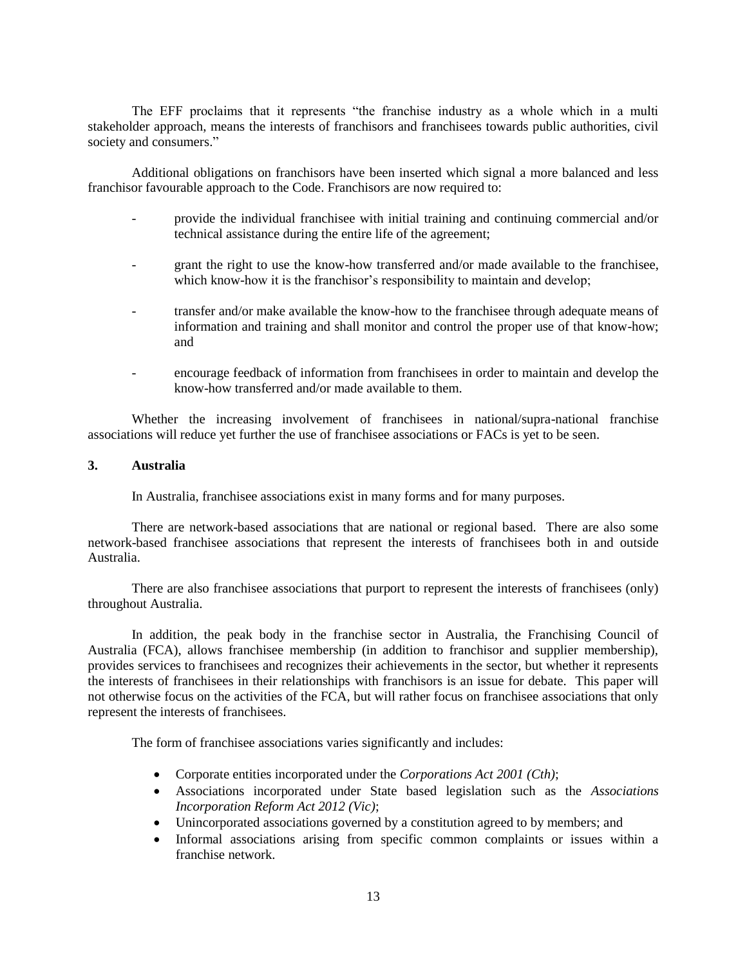The EFF proclaims that it represents "the franchise industry as a whole which in a multi stakeholder approach, means the interests of franchisors and franchisees towards public authorities, civil society and consumers."

Additional obligations on franchisors have been inserted which signal a more balanced and less franchisor favourable approach to the Code. Franchisors are now required to:

- provide the individual franchisee with initial training and continuing commercial and/or technical assistance during the entire life of the agreement;
- grant the right to use the know-how transferred and/or made available to the franchisee, which know-how it is the franchisor's responsibility to maintain and develop;
- transfer and/or make available the know-how to the franchisee through adequate means of information and training and shall monitor and control the proper use of that know-how; and
- encourage feedback of information from franchisees in order to maintain and develop the know-how transferred and/or made available to them.

Whether the increasing involvement of franchisees in national/supra-national franchise associations will reduce yet further the use of franchisee associations or FACs is yet to be seen.

#### **3. Australia**

In Australia, franchisee associations exist in many forms and for many purposes.

There are network-based associations that are national or regional based. There are also some network-based franchisee associations that represent the interests of franchisees both in and outside Australia.

There are also franchisee associations that purport to represent the interests of franchisees (only) throughout Australia.

In addition, the peak body in the franchise sector in Australia, the Franchising Council of Australia (FCA), allows franchisee membership (in addition to franchisor and supplier membership), provides services to franchisees and recognizes their achievements in the sector, but whether it represents the interests of franchisees in their relationships with franchisors is an issue for debate. This paper will not otherwise focus on the activities of the FCA, but will rather focus on franchisee associations that only represent the interests of franchisees.

The form of franchisee associations varies significantly and includes:

- Corporate entities incorporated under the *Corporations Act 2001 (Cth)*;
- Associations incorporated under State based legislation such as the *Associations Incorporation Reform Act 2012 (Vic)*;
- Unincorporated associations governed by a constitution agreed to by members; and
- Informal associations arising from specific common complaints or issues within a franchise network.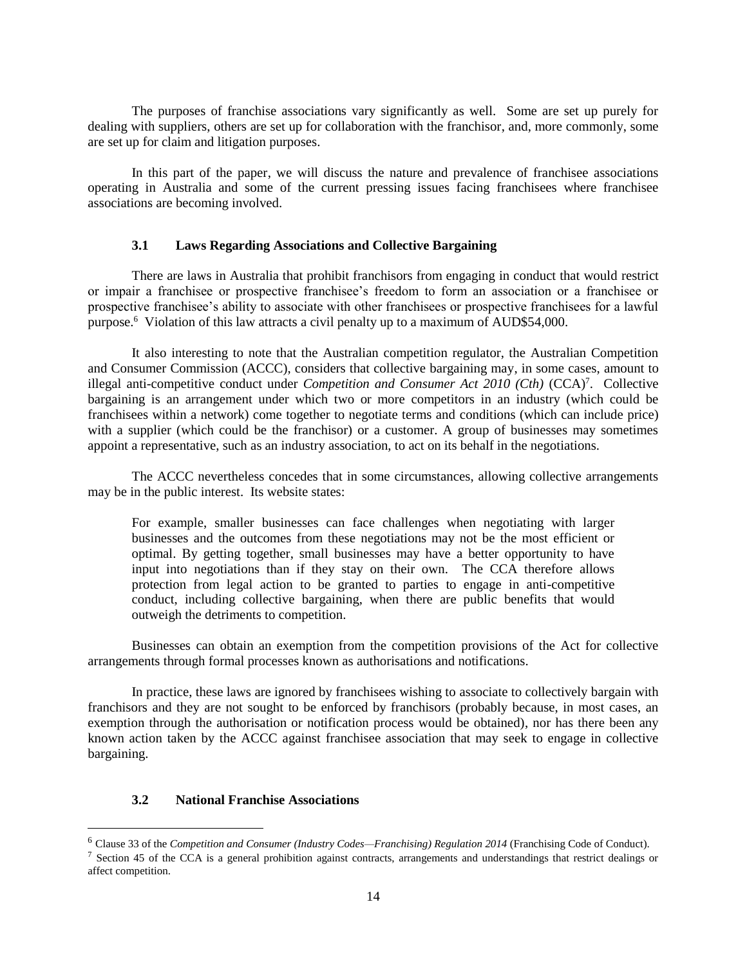The purposes of franchise associations vary significantly as well. Some are set up purely for dealing with suppliers, others are set up for collaboration with the franchisor, and, more commonly, some are set up for claim and litigation purposes.

In this part of the paper, we will discuss the nature and prevalence of franchisee associations operating in Australia and some of the current pressing issues facing franchisees where franchisee associations are becoming involved.

#### **3.1 Laws Regarding Associations and Collective Bargaining**

There are laws in Australia that prohibit franchisors from engaging in conduct that would restrict or impair a franchisee or prospective franchisee's freedom to form an association or a franchisee or prospective franchisee's ability to associate with other franchisees or prospective franchisees for a lawful purpose.<sup>6</sup> Violation of this law attracts a civil penalty up to a maximum of AUD\$54,000.

It also interesting to note that the Australian competition regulator, the Australian Competition and Consumer Commission (ACCC), considers that collective bargaining may, in some cases, amount to illegal anti-competitive conduct under *Competition and Consumer Act 2010 (Cth)* (CCA)<sup>7</sup>. Collective bargaining is an arrangement under which two or more competitors in an industry (which could be franchisees within a network) come together to negotiate terms and conditions (which can include price) with a supplier (which could be the franchisor) or a customer. A group of businesses may sometimes appoint a representative, such as an industry association, to act on its behalf in the negotiations.

The ACCC nevertheless concedes that in some circumstances, allowing collective arrangements may be in the public interest. Its website states:

For example, smaller businesses can face challenges when negotiating with larger businesses and the outcomes from these negotiations may not be the most efficient or optimal. By getting together, small businesses may have a better opportunity to have input into negotiations than if they stay on their own. The CCA therefore allows protection from legal action to be granted to parties to engage in anti-competitive conduct, including collective bargaining, when there are public benefits that would outweigh the detriments to competition.

Businesses can obtain an exemption from the competition provisions of the Act for collective arrangements through formal processes known as authorisations and notifications.

In practice, these laws are ignored by franchisees wishing to associate to collectively bargain with franchisors and they are not sought to be enforced by franchisors (probably because, in most cases, an exemption through the authorisation or notification process would be obtained), nor has there been any known action taken by the ACCC against franchisee association that may seek to engage in collective bargaining.

### **3.2 National Franchise Associations**

 $\overline{a}$ 

<sup>6</sup> Clause 33 of the *Competition and Consumer (Industry Codes—Franchising) Regulation 2014* (Franchising Code of Conduct).

<sup>&</sup>lt;sup>7</sup> Section 45 of the CCA is a general prohibition against contracts, arrangements and understandings that restrict dealings or affect competition.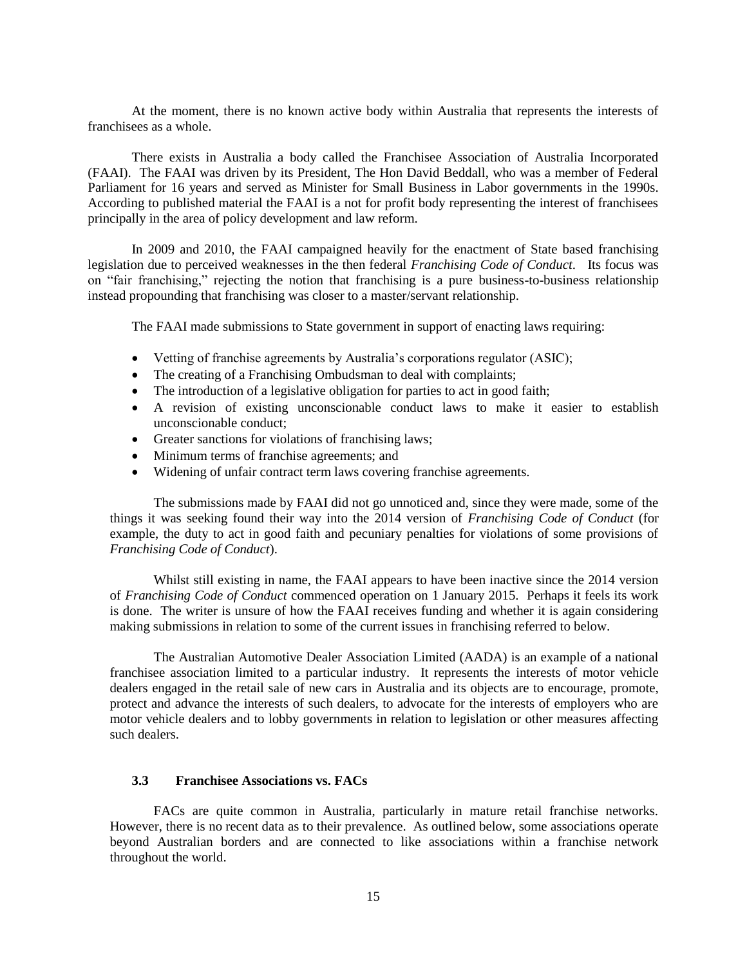At the moment, there is no known active body within Australia that represents the interests of franchisees as a whole.

There exists in Australia a body called the Franchisee Association of Australia Incorporated (FAAI). The FAAI was driven by its President, The Hon David Beddall, who was a member of Federal Parliament for 16 years and served as Minister for Small Business in Labor governments in the 1990s. According to published material the FAAI is a not for profit body representing the interest of franchisees principally in the area of policy development and law reform.

In 2009 and 2010, the FAAI campaigned heavily for the enactment of State based franchising legislation due to perceived weaknesses in the then federal *Franchising Code of Conduct*. Its focus was on "fair franchising," rejecting the notion that franchising is a pure business-to-business relationship instead propounding that franchising was closer to a master/servant relationship.

The FAAI made submissions to State government in support of enacting laws requiring:

- Vetting of franchise agreements by Australia's corporations regulator (ASIC);
- The creating of a Franchising Ombudsman to deal with complaints;
- The introduction of a legislative obligation for parties to act in good faith;
- A revision of existing unconscionable conduct laws to make it easier to establish unconscionable conduct;
- Greater sanctions for violations of franchising laws;
- Minimum terms of franchise agreements; and
- Widening of unfair contract term laws covering franchise agreements.

The submissions made by FAAI did not go unnoticed and, since they were made, some of the things it was seeking found their way into the 2014 version of *Franchising Code of Conduct* (for example, the duty to act in good faith and pecuniary penalties for violations of some provisions of *Franchising Code of Conduct*).

Whilst still existing in name, the FAAI appears to have been inactive since the 2014 version of *Franchising Code of Conduct* commenced operation on 1 January 2015. Perhaps it feels its work is done. The writer is unsure of how the FAAI receives funding and whether it is again considering making submissions in relation to some of the current issues in franchising referred to below.

The Australian Automotive Dealer Association Limited (AADA) is an example of a national franchisee association limited to a particular industry. It represents the interests of motor vehicle dealers engaged in the retail sale of new cars in Australia and its objects are to encourage, promote, protect and advance the interests of such dealers, to advocate for the interests of employers who are motor vehicle dealers and to lobby governments in relation to legislation or other measures affecting such dealers.

# **3.3 Franchisee Associations vs. FACs**

FACs are quite common in Australia, particularly in mature retail franchise networks. However, there is no recent data as to their prevalence. As outlined below, some associations operate beyond Australian borders and are connected to like associations within a franchise network throughout the world.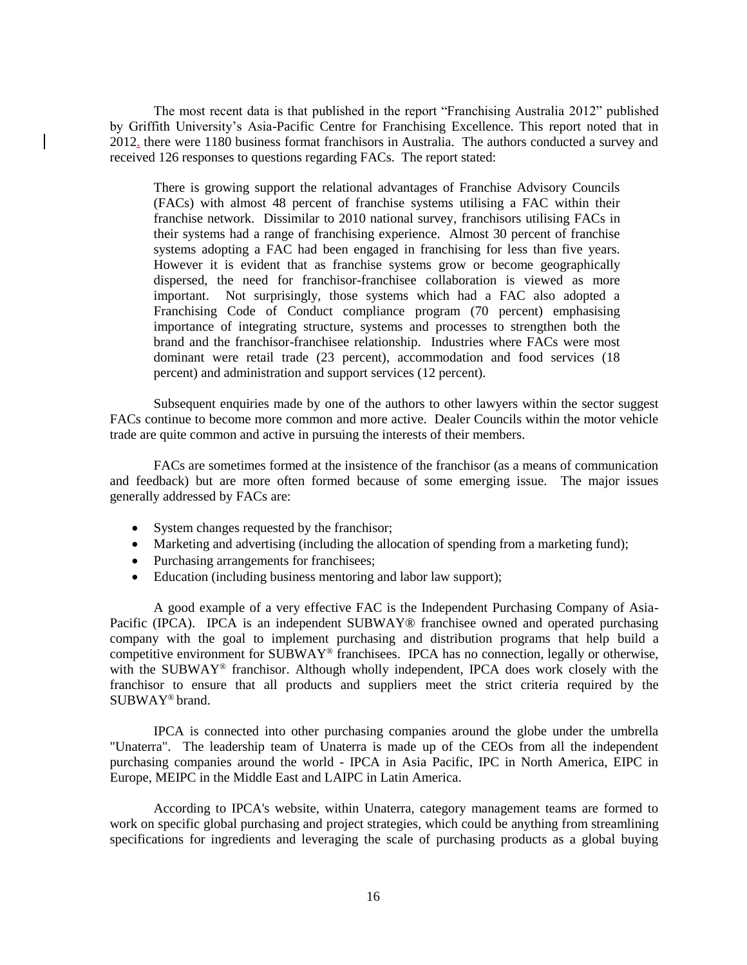The most recent data is that published in the report "Franchising Australia 2012" published by Griffith University's Asia-Pacific Centre for Franchising Excellence. This report noted that in 2012. there were 1180 business format franchisors in Australia. The authors conducted a survey and received 126 responses to questions regarding FACs. The report stated:

There is growing support the relational advantages of Franchise Advisory Councils (FACs) with almost 48 percent of franchise systems utilising a FAC within their franchise network. Dissimilar to 2010 national survey, franchisors utilising FACs in their systems had a range of franchising experience. Almost 30 percent of franchise systems adopting a FAC had been engaged in franchising for less than five years. However it is evident that as franchise systems grow or become geographically dispersed, the need for franchisor-franchisee collaboration is viewed as more important. Not surprisingly, those systems which had a FAC also adopted a Franchising Code of Conduct compliance program (70 percent) emphasising importance of integrating structure, systems and processes to strengthen both the brand and the franchisor-franchisee relationship. Industries where FACs were most dominant were retail trade (23 percent), accommodation and food services (18 percent) and administration and support services (12 percent).

Subsequent enquiries made by one of the authors to other lawyers within the sector suggest FACs continue to become more common and more active. Dealer Councils within the motor vehicle trade are quite common and active in pursuing the interests of their members.

FACs are sometimes formed at the insistence of the franchisor (as a means of communication and feedback) but are more often formed because of some emerging issue. The major issues generally addressed by FACs are:

- System changes requested by the franchisor;
- Marketing and advertising (including the allocation of spending from a marketing fund);
- Purchasing arrangements for franchisees;
- Education (including business mentoring and labor law support);

A good example of a very effective FAC is the Independent Purchasing Company of Asia-Pacific (IPCA). IPCA is an independent SUBWAY® franchisee owned and operated purchasing company with the goal to implement purchasing and distribution programs that help build a competitive environment for SUBWAY® franchisees. IPCA has no connection, legally or otherwise, with the SUBWAY® franchisor. Although wholly independent, IPCA does work closely with the franchisor to ensure that all products and suppliers meet the strict criteria required by the SUBWAY® brand.

IPCA is connected into other purchasing companies around the globe under the umbrella "Unaterra". The leadership team of Unaterra is made up of the CEOs from all the independent purchasing companies around the world - IPCA in Asia Pacific, IPC in North America, EIPC in Europe, MEIPC in the Middle East and LAIPC in Latin America.

According to IPCA's website, within Unaterra, category management teams are formed to work on specific global purchasing and project strategies, which could be anything from streamlining specifications for ingredients and leveraging the scale of purchasing products as a global buying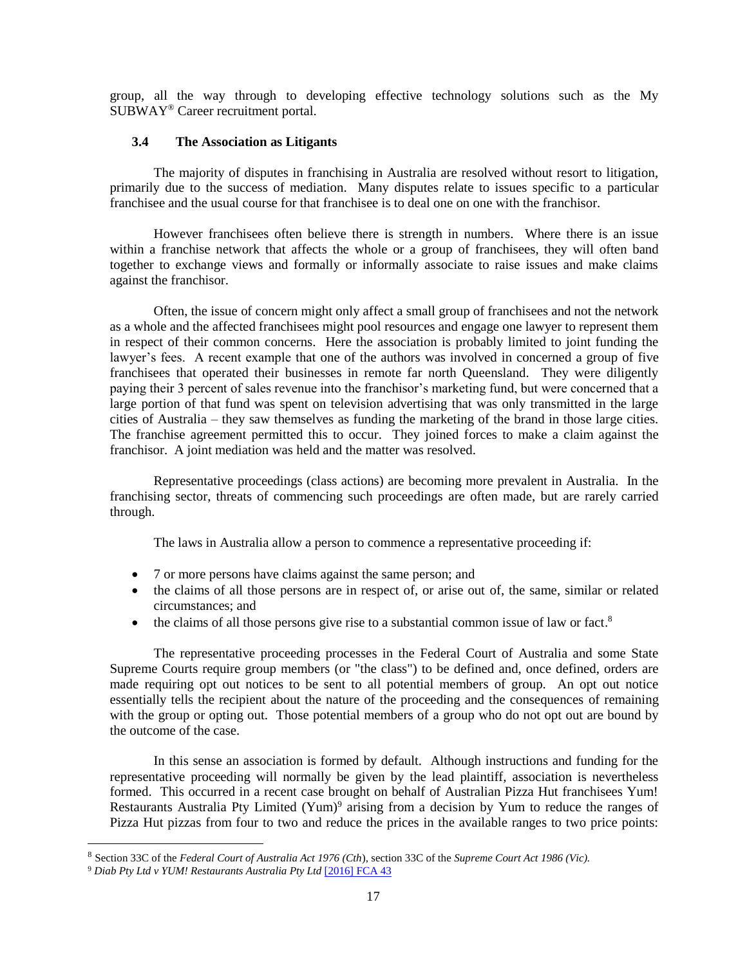group, all the way through to developing effective technology solutions such as the My SUBWAY® Career recruitment portal.

### **3.4 The Association as Litigants**

The majority of disputes in franchising in Australia are resolved without resort to litigation, primarily due to the success of mediation. Many disputes relate to issues specific to a particular franchisee and the usual course for that franchisee is to deal one on one with the franchisor.

However franchisees often believe there is strength in numbers. Where there is an issue within a franchise network that affects the whole or a group of franchisees, they will often band together to exchange views and formally or informally associate to raise issues and make claims against the franchisor.

Often, the issue of concern might only affect a small group of franchisees and not the network as a whole and the affected franchisees might pool resources and engage one lawyer to represent them in respect of their common concerns. Here the association is probably limited to joint funding the lawyer's fees. A recent example that one of the authors was involved in concerned a group of five franchisees that operated their businesses in remote far north Queensland. They were diligently paying their 3 percent of sales revenue into the franchisor's marketing fund, but were concerned that a large portion of that fund was spent on television advertising that was only transmitted in the large cities of Australia – they saw themselves as funding the marketing of the brand in those large cities. The franchise agreement permitted this to occur. They joined forces to make a claim against the franchisor. A joint mediation was held and the matter was resolved.

Representative proceedings (class actions) are becoming more prevalent in Australia. In the franchising sector, threats of commencing such proceedings are often made, but are rarely carried through.

The laws in Australia allow a person to commence a representative proceeding if:

- 7 or more persons have claims against the same person; and
- the claims of all those persons are in respect of, or arise out of, the same, similar or related circumstances; and
- $\bullet$  the claims of all those persons give rise to a substantial common issue of law or fact.<sup>8</sup>

The representative proceeding processes in the Federal Court of Australia and some State Supreme Courts require group members (or "the class") to be defined and, once defined, orders are made requiring opt out notices to be sent to all potential members of group. An opt out notice essentially tells the recipient about the nature of the proceeding and the consequences of remaining with the group or opting out. Those potential members of a group who do not opt out are bound by the outcome of the case.

In this sense an association is formed by default. Although instructions and funding for the representative proceeding will normally be given by the lead plaintiff, association is nevertheless formed. This occurred in a recent case brought on behalf of Australian Pizza Hut franchisees Yum! Restaurants Australia Pty Limited (Yum)<sup>9</sup> arising from a decision by Yum to reduce the ranges of Pizza Hut pizzas from four to two and reduce the prices in the available ranges to two price points:

 $\overline{a}$ 

<sup>8</sup> Section 33C of the *Federal Court of Australia Act 1976 (Cth*), section 33C of the *Supreme Court Act 1986 (Vic).* 

<sup>9</sup> *Diab Pty Ltd v YUM! Restaurants Australia Pty Ltd* [\[2016\] FCA 43](http://www.austlii.edu.au/au/cases/cth/FCA/2016/43.html)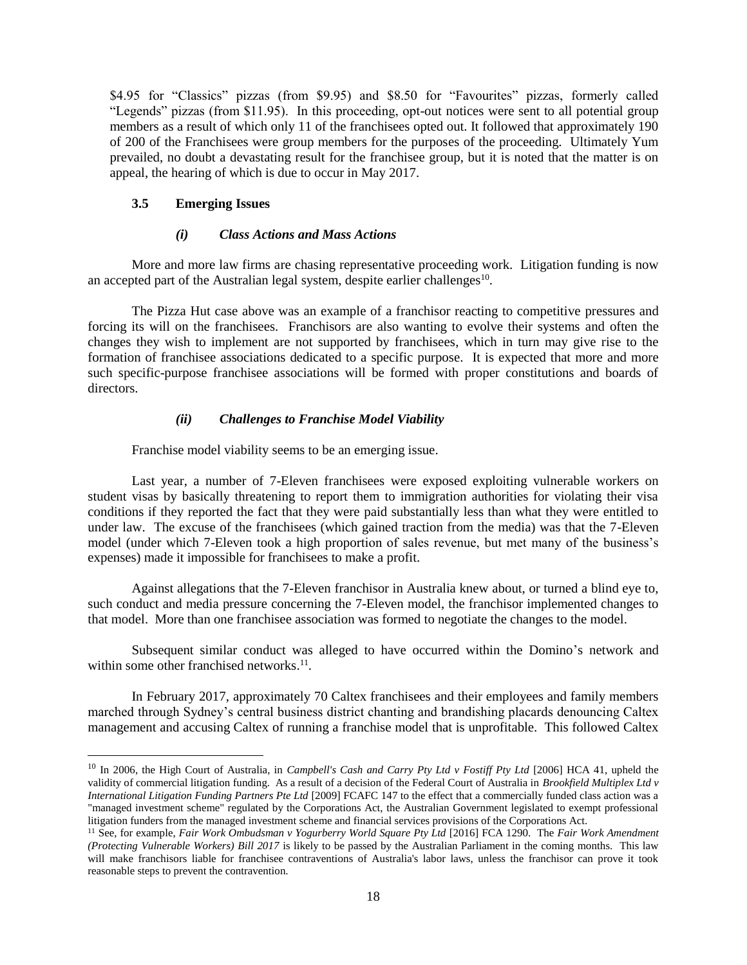\$4.95 for "Classics" pizzas (from \$9.95) and \$8.50 for "Favourites" pizzas, formerly called "Legends" pizzas (from \$11.95). In this proceeding, opt-out notices were sent to all potential group members as a result of which only 11 of the franchisees opted out. It followed that approximately 190 of 200 of the Franchisees were group members for the purposes of the proceeding. Ultimately Yum prevailed, no doubt a devastating result for the franchisee group, but it is noted that the matter is on appeal, the hearing of which is due to occur in May 2017.

### **3.5 Emerging Issues**

 $\overline{a}$ 

### *(i) Class Actions and Mass Actions*

More and more law firms are chasing representative proceeding work. Litigation funding is now an accepted part of the Australian legal system, despite earlier challenges<sup>10</sup>.

The Pizza Hut case above was an example of a franchisor reacting to competitive pressures and forcing its will on the franchisees. Franchisors are also wanting to evolve their systems and often the changes they wish to implement are not supported by franchisees, which in turn may give rise to the formation of franchisee associations dedicated to a specific purpose. It is expected that more and more such specific-purpose franchisee associations will be formed with proper constitutions and boards of directors.

### *(ii) Challenges to Franchise Model Viability*

Franchise model viability seems to be an emerging issue.

Last year, a number of 7-Eleven franchisees were exposed exploiting vulnerable workers on student visas by basically threatening to report them to immigration authorities for violating their visa conditions if they reported the fact that they were paid substantially less than what they were entitled to under law. The excuse of the franchisees (which gained traction from the media) was that the 7-Eleven model (under which 7-Eleven took a high proportion of sales revenue, but met many of the business's expenses) made it impossible for franchisees to make a profit.

Against allegations that the 7-Eleven franchisor in Australia knew about, or turned a blind eye to, such conduct and media pressure concerning the 7-Eleven model, the franchisor implemented changes to that model. More than one franchisee association was formed to negotiate the changes to the model.

Subsequent similar conduct was alleged to have occurred within the Domino's network and within some other franchised networks.<sup>11</sup>.

In February 2017, approximately 70 Caltex franchisees and their employees and family members marched through Sydney's central business district chanting and brandishing placards denouncing Caltex management and accusing Caltex of running a franchise model that is unprofitable. This followed Caltex

<sup>10</sup> In 2006, the High Court of Australia, in *Campbell's Cash and Carry Pty Ltd v Fostiff Pty Ltd* [2006] HCA 41, upheld the validity of commercial litigation funding. As a result of a decision of the Federal Court of Australia in *Brookfield Multiplex Ltd v International Litigation Funding Partners Pte Ltd* [2009] FCAFC 147 to the effect that a commercially funded class action was a "managed investment scheme" regulated by the Corporations Act, the Australian Government legislated to exempt professional litigation funders from the managed investment scheme and financial services provisions of the Corporations Act.

<sup>11</sup> See, for example, *Fair Work Ombudsman v Yogurberry World Square Pty Ltd* [2016] FCA 1290. The *Fair Work Amendment (Protecting Vulnerable Workers) Bill 2017* is likely to be passed by the Australian Parliament in the coming months. This law will make franchisors liable for franchisee contraventions of Australia's labor laws, unless the franchisor can prove it took reasonable steps to prevent the contravention.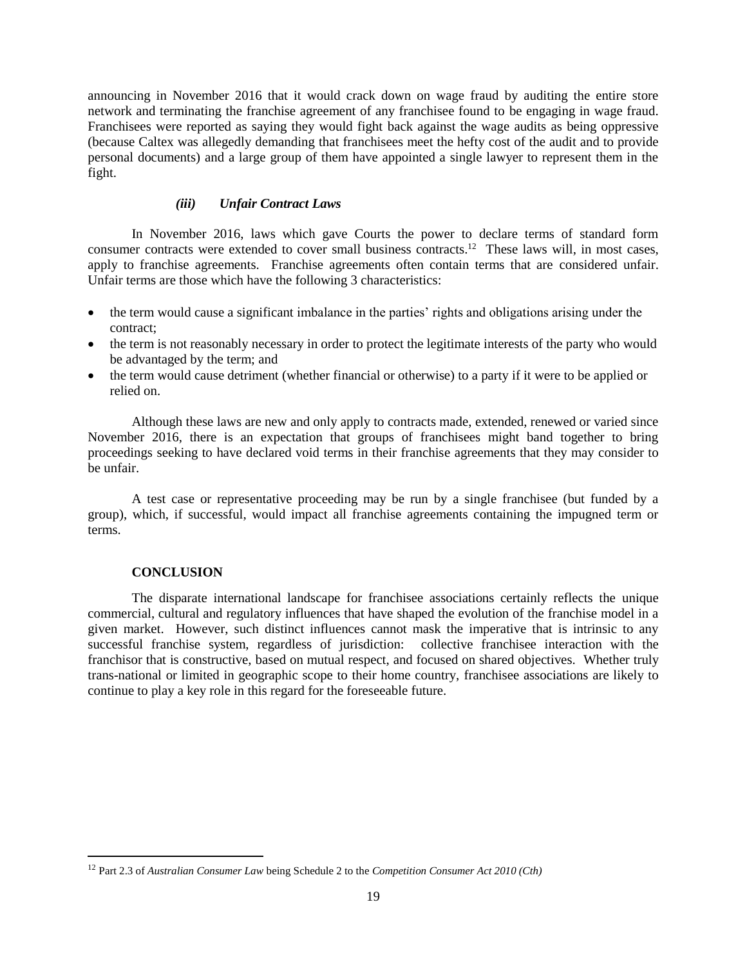announcing in November 2016 that it would crack down on wage fraud by auditing the entire store network and terminating the franchise agreement of any franchisee found to be engaging in wage fraud. Franchisees were reported as saying they would fight back against the wage audits as being oppressive (because Caltex was allegedly demanding that franchisees meet the hefty cost of the audit and to provide personal documents) and a large group of them have appointed a single lawyer to represent them in the fight.

### *(iii) Unfair Contract Laws*

In November 2016, laws which gave Courts the power to declare terms of standard form consumer contracts were extended to cover small business contracts. 12 These laws will, in most cases, apply to franchise agreements. Franchise agreements often contain terms that are considered unfair. Unfair terms are those which have the following 3 characteristics:

- the term would cause a significant imbalance in the parties' rights and obligations arising under the contract;
- the term is not reasonably necessary in order to protect the legitimate interests of the party who would be advantaged by the term; and
- the term would cause detriment (whether financial or otherwise) to a party if it were to be applied or relied on.

Although these laws are new and only apply to contracts made, extended, renewed or varied since November 2016, there is an expectation that groups of franchisees might band together to bring proceedings seeking to have declared void terms in their franchise agreements that they may consider to be unfair.

A test case or representative proceeding may be run by a single franchisee (but funded by a group), which, if successful, would impact all franchise agreements containing the impugned term or terms.

#### **CONCLUSION**

 $\overline{a}$ 

The disparate international landscape for franchisee associations certainly reflects the unique commercial, cultural and regulatory influences that have shaped the evolution of the franchise model in a given market. However, such distinct influences cannot mask the imperative that is intrinsic to any successful franchise system, regardless of jurisdiction: collective franchisee interaction with the franchisor that is constructive, based on mutual respect, and focused on shared objectives. Whether truly trans-national or limited in geographic scope to their home country, franchisee associations are likely to continue to play a key role in this regard for the foreseeable future.

<sup>12</sup> Part 2.3 of *Australian Consumer Law* being Schedule 2 to the *Competition Consumer Act 2010 (Cth)*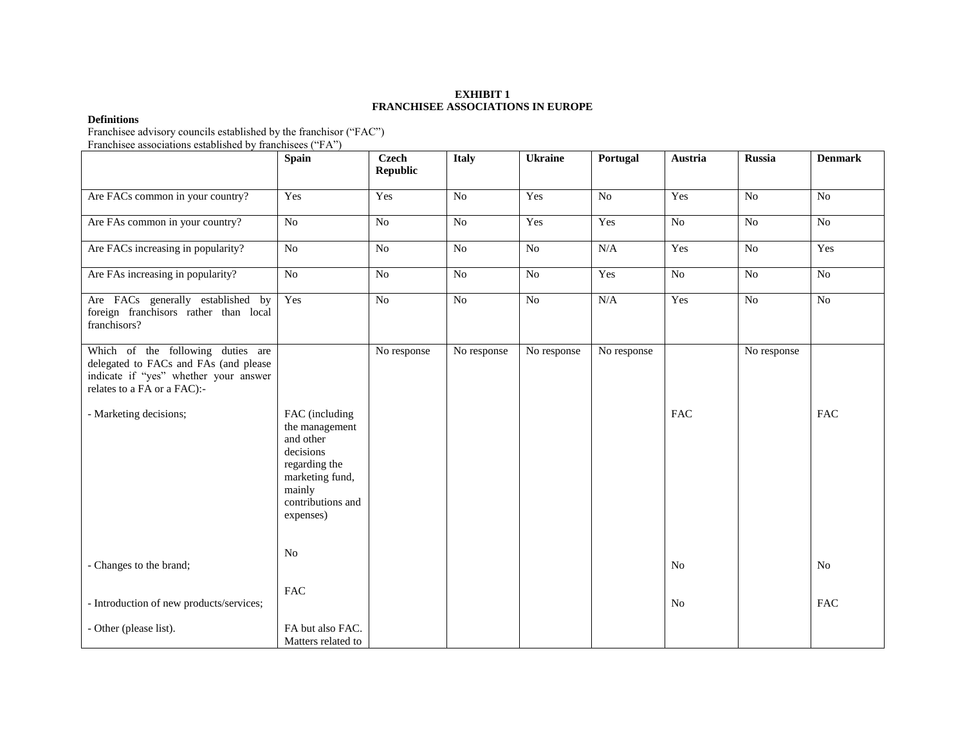#### **EXHIBIT 1 FRANCHISEE ASSOCIATIONS IN EUROPE**

#### **Definitions**

Franchisee advisory councils established by the franchisor ("FAC")

Franchisee associations established by franchisees ("FA")

|                                                                                                                                                    | <b>Spain</b>                                                                                                                               | <b>Czech</b><br><b>Republic</b> | <b>Italy</b>   | <b>Ukraine</b> | Portugal    | Austria        | <b>Russia</b>  | <b>Denmark</b> |
|----------------------------------------------------------------------------------------------------------------------------------------------------|--------------------------------------------------------------------------------------------------------------------------------------------|---------------------------------|----------------|----------------|-------------|----------------|----------------|----------------|
| Are FACs common in your country?                                                                                                                   | Yes                                                                                                                                        | Yes                             | No             | Yes            | No          | Yes            | N <sub>o</sub> | N <sub>o</sub> |
| Are FAs common in your country?                                                                                                                    | N <sub>o</sub>                                                                                                                             | No                              | No             | Yes            | Yes         | No             | N <sub>o</sub> | No             |
| Are FACs increasing in popularity?                                                                                                                 | N <sub>o</sub>                                                                                                                             | $\rm No$                        | N <sub>o</sub> | $\rm No$       | N/A         | Yes            | N <sub>o</sub> | Yes            |
| Are FAs increasing in popularity?                                                                                                                  | No                                                                                                                                         | No                              | No             | No             | Yes         | No             | No             | $\rm No$       |
| Are FACs generally established by<br>foreign franchisors rather than local<br>franchisors?                                                         | Yes                                                                                                                                        | No                              | No             | N <sub>o</sub> | N/A         | Yes            | N <sub>o</sub> | N <sub>o</sub> |
| Which of the following duties are<br>delegated to FACs and FAs (and please<br>indicate if "yes" whether your answer<br>relates to a FA or a FAC):- |                                                                                                                                            | No response                     | No response    | No response    | No response |                | No response    |                |
| - Marketing decisions;                                                                                                                             | FAC (including<br>the management<br>and other<br>decisions<br>regarding the<br>marketing fund,<br>mainly<br>contributions and<br>expenses) |                                 |                |                |             | <b>FAC</b>     |                | <b>FAC</b>     |
| - Changes to the brand;                                                                                                                            | N <sub>0</sub>                                                                                                                             |                                 |                |                |             | N <sub>0</sub> |                | No             |
| - Introduction of new products/services;                                                                                                           | FAC                                                                                                                                        |                                 |                |                |             | N <sub>0</sub> |                | <b>FAC</b>     |
| - Other (please list).                                                                                                                             | FA but also FAC.<br>Matters related to                                                                                                     |                                 |                |                |             |                |                |                |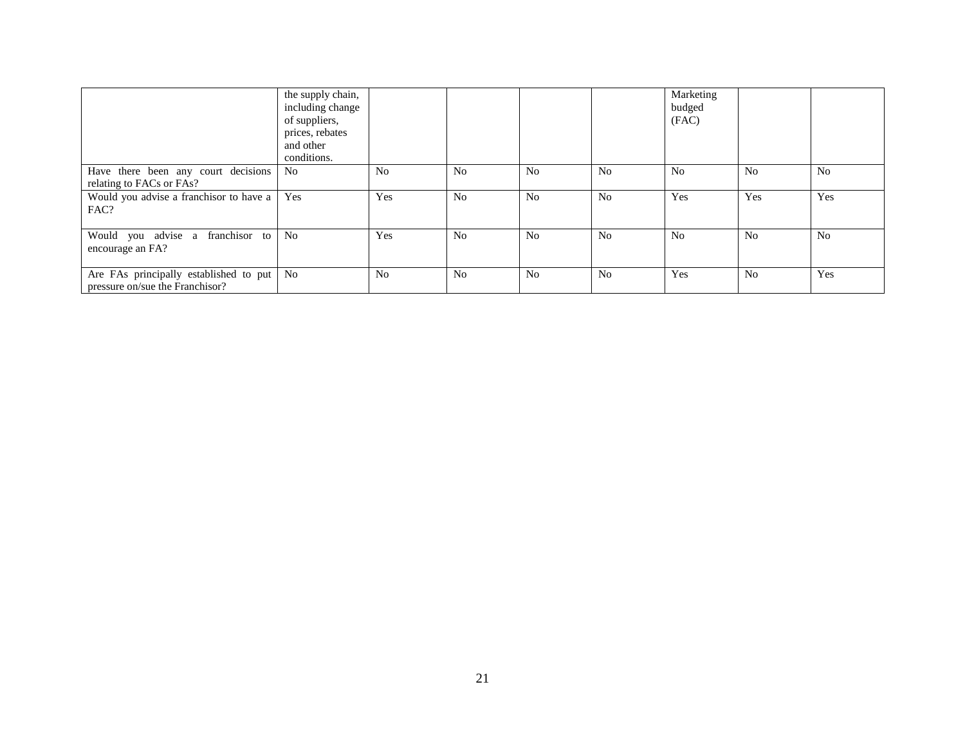|                                                                           | the supply chain,<br>including change<br>of suppliers,<br>prices, rebates<br>and other<br>conditions. |                |                |                |                | Marketing<br>budged<br>(FAC) |                |                |
|---------------------------------------------------------------------------|-------------------------------------------------------------------------------------------------------|----------------|----------------|----------------|----------------|------------------------------|----------------|----------------|
| Have there been any court decisions<br>relating to FACs or FAs?           | N <sub>o</sub>                                                                                        | N <sub>0</sub> | N <sub>o</sub> | N <sub>0</sub> | N <sub>0</sub> | No                           | N <sub>0</sub> | N <sub>0</sub> |
| Would you advise a franchisor to have a<br>FAC?                           | Yes                                                                                                   | Yes            | N <sub>0</sub> | N <sub>o</sub> | N <sub>0</sub> | Yes                          | Yes            | Yes            |
| Would you advise a franchisor to<br>encourage an FA?                      | N <sub>0</sub>                                                                                        | Yes            | N <sub>0</sub> | N <sub>0</sub> | N <sub>0</sub> | <b>No</b>                    | N <sub>0</sub> | N <sub>0</sub> |
| Are FAs principally established to put<br>pressure on/sue the Franchisor? | N <sub>0</sub>                                                                                        | N <sub>0</sub> | N <sub>0</sub> | N <sub>0</sub> | N <sub>0</sub> | Yes                          | N <sub>0</sub> | Yes            |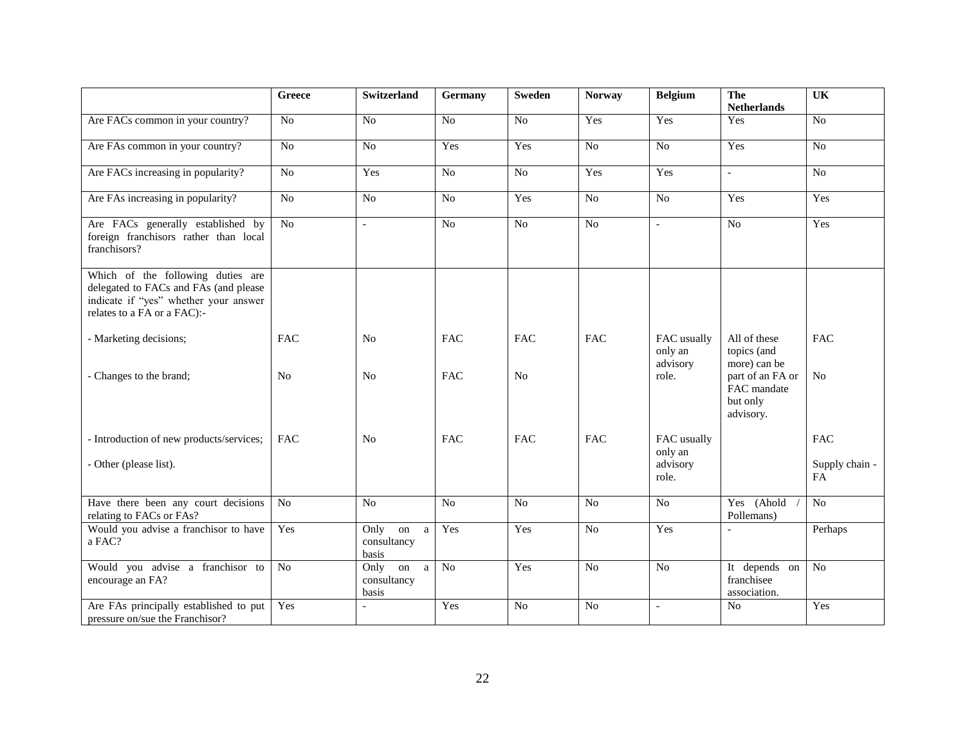|                                                                                                                                                    | Greece          | <b>Switzerland</b>                                 | <b>Germany</b> | Sweden          | <b>Norway</b>  | <b>Belgium</b>                     | The<br><b>Netherlands</b>                                | $\overline{\text{UK}}$ |
|----------------------------------------------------------------------------------------------------------------------------------------------------|-----------------|----------------------------------------------------|----------------|-----------------|----------------|------------------------------------|----------------------------------------------------------|------------------------|
| Are FACs common in your country?                                                                                                                   | N <sub>o</sub>  | $\overline{No}$                                    | No             | $\overline{No}$ | Yes            | Yes                                | Yes                                                      | $\overline{No}$        |
| Are FAs common in your country?                                                                                                                    | $\overline{No}$ | No                                                 | Yes            | Yes             | N <sub>o</sub> | No                                 | Yes                                                      | No                     |
| Are FACs increasing in popularity?                                                                                                                 | No              | Yes                                                | No             | N <sub>o</sub>  | Yes            | Yes                                | $\overline{a}$                                           | No                     |
| Are FAs increasing in popularity?                                                                                                                  | N <sub>o</sub>  | N <sub>o</sub>                                     | No             | Yes             | No             | No                                 | Yes                                                      | Yes                    |
| Are FACs generally established by<br>foreign franchisors rather than local<br>franchisors?                                                         | No              | $\overline{a}$                                     | N <sub>o</sub> | N <sub>o</sub>  | N <sub>o</sub> | $\overline{\phantom{a}}$           | N <sub>o</sub>                                           | Yes                    |
| Which of the following duties are<br>delegated to FACs and FAs (and please<br>indicate if "yes" whether your answer<br>relates to a FA or a FAC):- |                 |                                                    |                |                 |                |                                    |                                                          |                        |
| - Marketing decisions;                                                                                                                             | <b>FAC</b>      | N <sub>0</sub>                                     | <b>FAC</b>     | <b>FAC</b>      | <b>FAC</b>     | FAC usually<br>only an<br>advisory | All of these<br>topics (and<br>more) can be              | <b>FAC</b>             |
| - Changes to the brand;                                                                                                                            | N <sub>0</sub>  | N <sub>o</sub>                                     | <b>FAC</b>     | N <sub>o</sub>  |                | role.                              | part of an FA or<br>FAC mandate<br>but only<br>advisory. | N <sub>o</sub>         |
| - Introduction of new products/services;                                                                                                           | <b>FAC</b>      | N <sub>0</sub>                                     | <b>FAC</b>     | <b>FAC</b>      | <b>FAC</b>     | FAC usually<br>only an             |                                                          | <b>FAC</b>             |
| - Other (please list).                                                                                                                             |                 |                                                    |                |                 |                | advisory<br>role.                  |                                                          | Supply chain -<br>FA   |
| Have there been any court decisions<br>relating to FACs or FAs?                                                                                    | N <sub>o</sub>  | N <sub>o</sub>                                     | No             | N <sub>o</sub>  | N <sub>o</sub> | No                                 | Yes (Ahold<br>Pollemans)                                 | No                     |
| Would you advise a franchisor to have<br>a FAC?                                                                                                    | Yes             | Only<br>on<br>a<br>consultancy<br>basis            | Yes            | Yes             | N <sub>o</sub> | Yes                                | $\overline{a}$                                           | Perhaps                |
| Would you advise a franchisor to<br>encourage an FA?                                                                                               | No              | Only<br>on<br>$\mathbf{a}$<br>consultancy<br>basis | N <sub>o</sub> | Yes             | N <sub>o</sub> | No                                 | It depends on<br>franchisee<br>association.              | $\overline{No}$        |
| Are FAs principally established to put<br>pressure on/sue the Franchisor?                                                                          | Yes             |                                                    | Yes            | No              | N <sub>o</sub> | $\overline{\phantom{a}}$           | N <sub>o</sub>                                           | Yes                    |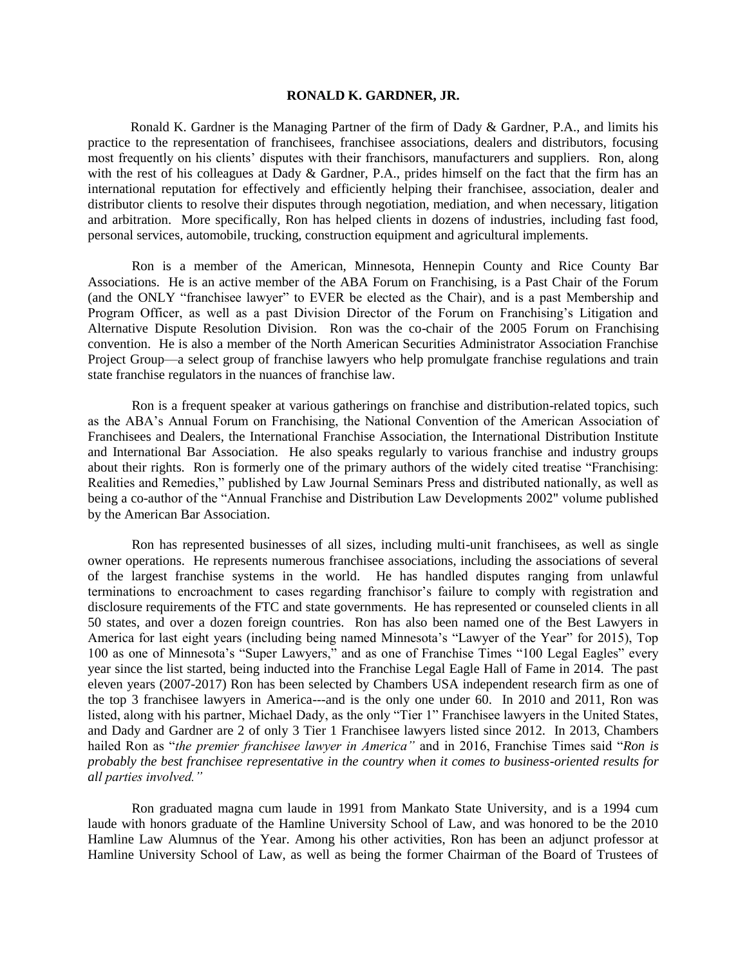#### **RONALD K. GARDNER, JR.**

Ronald K. Gardner is the Managing Partner of the firm of Dady & Gardner, P.A., and limits his practice to the representation of franchisees, franchisee associations, dealers and distributors, focusing most frequently on his clients' disputes with their franchisors, manufacturers and suppliers. Ron, along with the rest of his colleagues at Dady & Gardner, P.A., prides himself on the fact that the firm has an international reputation for effectively and efficiently helping their franchisee, association, dealer and distributor clients to resolve their disputes through negotiation, mediation, and when necessary, litigation and arbitration. More specifically, Ron has helped clients in dozens of industries, including fast food, personal services, automobile, trucking, construction equipment and agricultural implements.

Ron is a member of the American, Minnesota, Hennepin County and Rice County Bar Associations. He is an active member of the ABA Forum on Franchising, is a Past Chair of the Forum (and the ONLY "franchisee lawyer" to EVER be elected as the Chair), and is a past Membership and Program Officer, as well as a past Division Director of the Forum on Franchising's Litigation and Alternative Dispute Resolution Division. Ron was the co-chair of the 2005 Forum on Franchising convention. He is also a member of the North American Securities Administrator Association Franchise Project Group—a select group of franchise lawyers who help promulgate franchise regulations and train state franchise regulators in the nuances of franchise law.

Ron is a frequent speaker at various gatherings on franchise and distribution-related topics, such as the ABA's Annual Forum on Franchising, the National Convention of the American Association of Franchisees and Dealers, the International Franchise Association, the International Distribution Institute and International Bar Association. He also speaks regularly to various franchise and industry groups about their rights. Ron is formerly one of the primary authors of the widely cited treatise "Franchising: Realities and Remedies," published by Law Journal Seminars Press and distributed nationally, as well as being a co-author of the "Annual Franchise and Distribution Law Developments 2002" volume published by the American Bar Association.

Ron has represented businesses of all sizes, including multi-unit franchisees, as well as single owner operations. He represents numerous franchisee associations, including the associations of several of the largest franchise systems in the world. He has handled disputes ranging from unlawful terminations to encroachment to cases regarding franchisor's failure to comply with registration and disclosure requirements of the FTC and state governments. He has represented or counseled clients in all 50 states, and over a dozen foreign countries. Ron has also been named one of the Best Lawyers in America for last eight years (including being named Minnesota's "Lawyer of the Year" for 2015), Top 100 as one of Minnesota's "Super Lawyers," and as one of Franchise Times "100 Legal Eagles" every year since the list started, being inducted into the Franchise Legal Eagle Hall of Fame in 2014. The past eleven years (2007-2017) Ron has been selected by Chambers USA independent research firm as one of the top 3 franchisee lawyers in America---and is the only one under 60. In 2010 and 2011, Ron was listed, along with his partner, Michael Dady, as the only "Tier 1" Franchisee lawyers in the United States, and Dady and Gardner are 2 of only 3 Tier 1 Franchisee lawyers listed since 2012. In 2013, Chambers hailed Ron as "*the premier franchisee lawyer in America"* and in 2016, Franchise Times said "*Ron is probably the best franchisee representative in the country when it comes to business-oriented results for all parties involved."*

Ron graduated magna cum laude in 1991 from Mankato State University, and is a 1994 cum laude with honors graduate of the Hamline University School of Law, and was honored to be the 2010 Hamline Law Alumnus of the Year. Among his other activities, Ron has been an adjunct professor at Hamline University School of Law, as well as being the former Chairman of the Board of Trustees of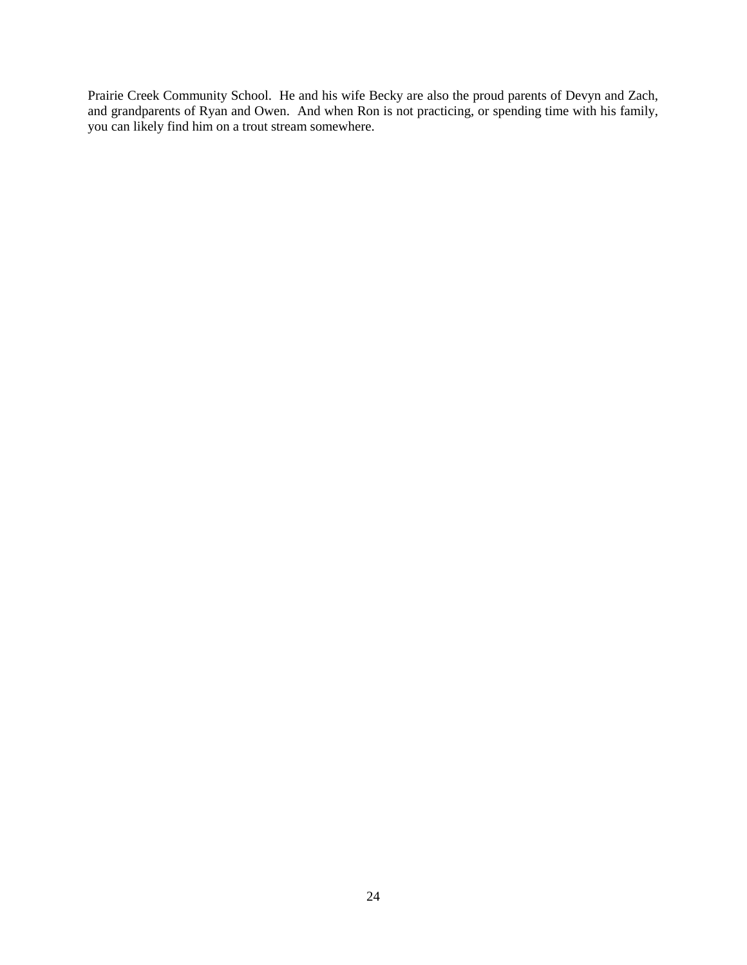Prairie Creek Community School. He and his wife Becky are also the proud parents of Devyn and Zach, and grandparents of Ryan and Owen. And when Ron is not practicing, or spending time with his family, you can likely find him on a trout stream somewhere.